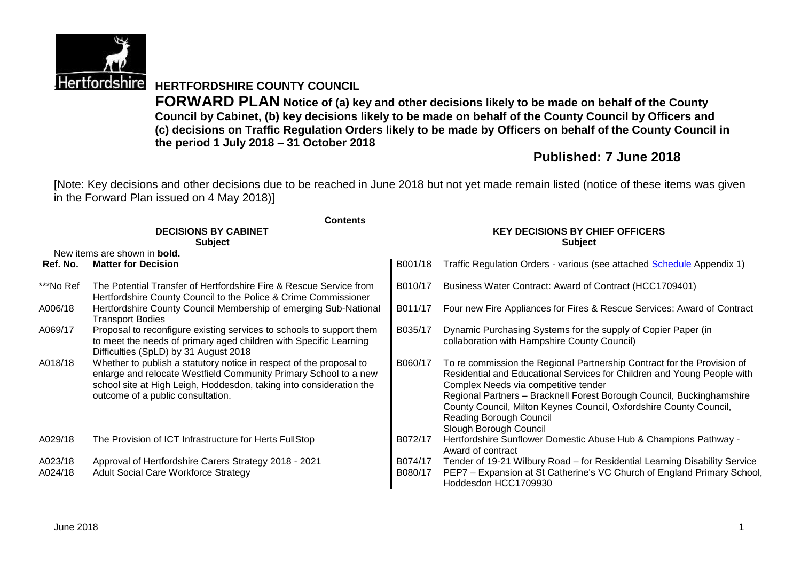

**Hertfordshire HERTFORDSHIRE COUNTY COUNCIL** 

**FORWARD PLAN Notice of (a) key and other decisions likely to be made on behalf of the County Council by Cabinet, (b) key decisions likely to be made on behalf of the County Council by Officers and (c) decisions on Traffic Regulation Orders likely to be made by Officers on behalf of the County Council in the period 1 July 2018 – 31 October 2018**

# **Published: 7 June 2018**

[Note: Key decisions and other decisions due to be reached in June 2018 but not yet made remain listed (notice of these items was given in the Forward Plan issued on 4 May 2018)]

|                    | <b>Contents</b>                                                                                                                                                                                                                                     |                                                          |                                                                                                                                                                                                                                                                                                                                                                                                |  |  |  |
|--------------------|-----------------------------------------------------------------------------------------------------------------------------------------------------------------------------------------------------------------------------------------------------|----------------------------------------------------------|------------------------------------------------------------------------------------------------------------------------------------------------------------------------------------------------------------------------------------------------------------------------------------------------------------------------------------------------------------------------------------------------|--|--|--|
|                    | <b>DECISIONS BY CABINET</b><br><b>Subject</b>                                                                                                                                                                                                       | <b>KEY DECISIONS BY CHIEF OFFICERS</b><br><b>Subject</b> |                                                                                                                                                                                                                                                                                                                                                                                                |  |  |  |
|                    | New items are shown in <b>bold.</b>                                                                                                                                                                                                                 |                                                          |                                                                                                                                                                                                                                                                                                                                                                                                |  |  |  |
| Ref. No.           | <b>Matter for Decision</b>                                                                                                                                                                                                                          | B001/18                                                  | Traffic Regulation Orders - various (see attached Schedule Appendix 1)                                                                                                                                                                                                                                                                                                                         |  |  |  |
| ***No Ref          | The Potential Transfer of Hertfordshire Fire & Rescue Service from<br>Hertfordshire County Council to the Police & Crime Commissioner                                                                                                               | B010/17                                                  | Business Water Contract: Award of Contract (HCC1709401)                                                                                                                                                                                                                                                                                                                                        |  |  |  |
| A006/18            | Hertfordshire County Council Membership of emerging Sub-National<br><b>Transport Bodies</b>                                                                                                                                                         | B011/17                                                  | Four new Fire Appliances for Fires & Rescue Services: Award of Contract                                                                                                                                                                                                                                                                                                                        |  |  |  |
| A069/17            | Proposal to reconfigure existing services to schools to support them<br>to meet the needs of primary aged children with Specific Learning<br>Difficulties (SpLD) by 31 August 2018                                                                  | B035/17                                                  | Dynamic Purchasing Systems for the supply of Copier Paper (in<br>collaboration with Hampshire County Council)                                                                                                                                                                                                                                                                                  |  |  |  |
| A018/18            | Whether to publish a statutory notice in respect of the proposal to<br>enlarge and relocate Westfield Community Primary School to a new<br>school site at High Leigh, Hoddesdon, taking into consideration the<br>outcome of a public consultation. | B060/17                                                  | To re commission the Regional Partnership Contract for the Provision of<br>Residential and Educational Services for Children and Young People with<br>Complex Needs via competitive tender<br>Regional Partners - Bracknell Forest Borough Council, Buckinghamshire<br>County Council, Milton Keynes Council, Oxfordshire County Council,<br>Reading Borough Council<br>Slough Borough Council |  |  |  |
| A029/18            | The Provision of ICT Infrastructure for Herts FullStop                                                                                                                                                                                              | B072/17                                                  | Hertfordshire Sunflower Domestic Abuse Hub & Champions Pathway -<br>Award of contract                                                                                                                                                                                                                                                                                                          |  |  |  |
| A023/18<br>A024/18 | Approval of Hertfordshire Carers Strategy 2018 - 2021<br><b>Adult Social Care Workforce Strategy</b>                                                                                                                                                | B074/17<br>B080/17                                       | Tender of 19-21 Wilbury Road - for Residential Learning Disability Service<br>PEP7 - Expansion at St Catherine's VC Church of England Primary School,<br>Hoddesdon HCC1709930                                                                                                                                                                                                                  |  |  |  |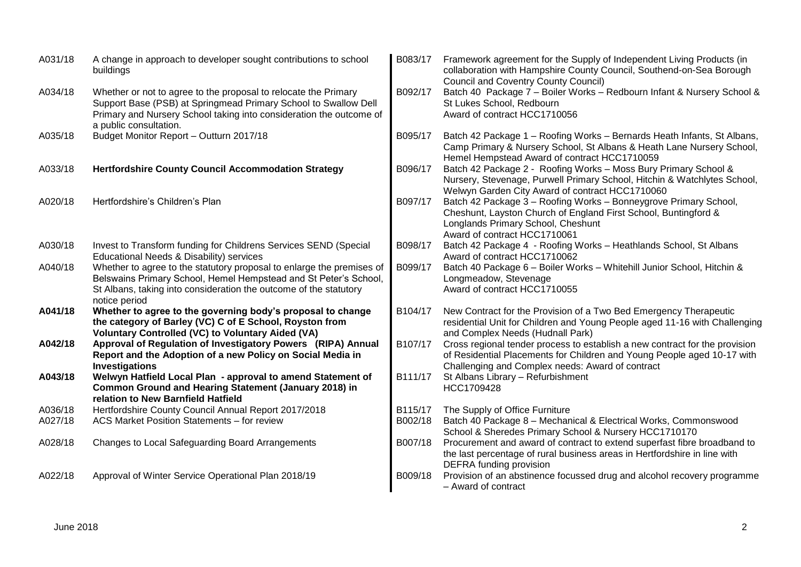| A031/18 | A change in approach to developer sought contributions to school<br>buildings                                                                                                                                                       | B083/17 | Framework agreement for the Supply of Independent Living Products (in<br>collaboration with Hampshire County Council, Southend-on-Sea Borough<br><b>Council and Coventry County Council)</b>               |
|---------|-------------------------------------------------------------------------------------------------------------------------------------------------------------------------------------------------------------------------------------|---------|------------------------------------------------------------------------------------------------------------------------------------------------------------------------------------------------------------|
| A034/18 | Whether or not to agree to the proposal to relocate the Primary<br>Support Base (PSB) at Springmead Primary School to Swallow Dell<br>Primary and Nursery School taking into consideration the outcome of<br>a public consultation. | B092/17 | Batch 40 Package 7 - Boiler Works - Redbourn Infant & Nursery School &<br>St Lukes School, Redbourn<br>Award of contract HCC1710056                                                                        |
| A035/18 | Budget Monitor Report - Outturn 2017/18                                                                                                                                                                                             | B095/17 | Batch 42 Package 1 - Roofing Works - Bernards Heath Infants, St Albans,<br>Camp Primary & Nursery School, St Albans & Heath Lane Nursery School,<br>Hemel Hempstead Award of contract HCC1710059           |
| A033/18 | <b>Hertfordshire County Council Accommodation Strategy</b>                                                                                                                                                                          | B096/17 | Batch 42 Package 2 - Roofing Works - Moss Bury Primary School &<br>Nursery, Stevenage, Purwell Primary School, Hitchin & Watchlytes School,<br>Welwyn Garden City Award of contract HCC1710060             |
| A020/18 | Hertfordshire's Children's Plan                                                                                                                                                                                                     | B097/17 | Batch 42 Package 3 - Roofing Works - Bonneygrove Primary School,<br>Cheshunt, Layston Church of England First School, Buntingford &<br>Longlands Primary School, Cheshunt<br>Award of contract HCC1710061  |
| A030/18 | Invest to Transform funding for Childrens Services SEND (Special<br>Educational Needs & Disability) services                                                                                                                        | B098/17 | Batch 42 Package 4 - Roofing Works - Heathlands School, St Albans<br>Award of contract HCC1710062                                                                                                          |
| A040/18 | Whether to agree to the statutory proposal to enlarge the premises of<br>Belswains Primary School, Hemel Hempstead and St Peter's School,<br>St Albans, taking into consideration the outcome of the statutory<br>notice period     | B099/17 | Batch 40 Package 6 - Boiler Works - Whitehill Junior School, Hitchin &<br>Longmeadow, Stevenage<br>Award of contract HCC1710055                                                                            |
| A041/18 | Whether to agree to the governing body's proposal to change<br>the category of Barley (VC) C of E School, Royston from<br><b>Voluntary Controlled (VC) to Voluntary Aided (VA)</b>                                                  | B104/17 | New Contract for the Provision of a Two Bed Emergency Therapeutic<br>residential Unit for Children and Young People aged 11-16 with Challenging<br>and Complex Needs (Hudnall Park)                        |
| A042/18 | Approval of Regulation of Investigatory Powers (RIPA) Annual<br>Report and the Adoption of a new Policy on Social Media in<br>Investigations                                                                                        | B107/17 | Cross regional tender process to establish a new contract for the provision<br>of Residential Placements for Children and Young People aged 10-17 with<br>Challenging and Complex needs: Award of contract |
| A043/18 | Welwyn Hatfield Local Plan - approval to amend Statement of<br>Common Ground and Hearing Statement (January 2018) in<br>relation to New Barnfield Hatfield                                                                          | B111/17 | St Albans Library - Refurbishment<br>HCC1709428                                                                                                                                                            |
| A036/18 | Hertfordshire County Council Annual Report 2017/2018                                                                                                                                                                                | B115/17 | The Supply of Office Furniture                                                                                                                                                                             |
| A027/18 | ACS Market Position Statements - for review                                                                                                                                                                                         | B002/18 | Batch 40 Package 8 - Mechanical & Electrical Works, Commonswood<br>School & Sheredes Primary School & Nursery HCC1710170                                                                                   |
| A028/18 | Changes to Local Safeguarding Board Arrangements                                                                                                                                                                                    | B007/18 | Procurement and award of contract to extend superfast fibre broadband to<br>the last percentage of rural business areas in Hertfordshire in line with<br>DEFRA funding provision                           |
| A022/18 | Approval of Winter Service Operational Plan 2018/19                                                                                                                                                                                 | B009/18 | Provision of an abstinence focussed drug and alcohol recovery programme<br>- Award of contract                                                                                                             |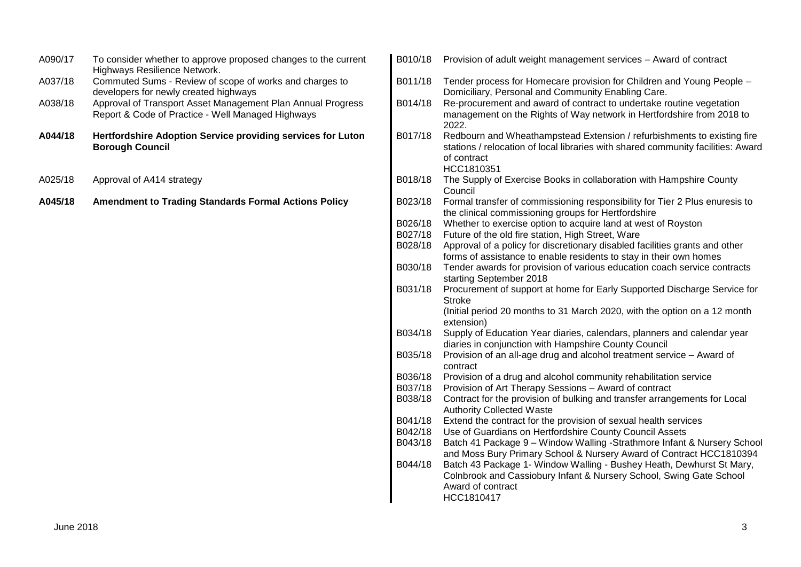| A090/17 | To consider whether to approve proposed changes to the current<br>Highways Resilience Network.                   | B010/18 | Provision of adult weight management services - Award of contract                                                                                                                        |
|---------|------------------------------------------------------------------------------------------------------------------|---------|------------------------------------------------------------------------------------------------------------------------------------------------------------------------------------------|
| A037/18 | Commuted Sums - Review of scope of works and charges to<br>developers for newly created highways                 | B011/18 | Tender process for Homecare provision for Children and Young People -<br>Domiciliary, Personal and Community Enabling Care.                                                              |
| A038/18 | Approval of Transport Asset Management Plan Annual Progress<br>Report & Code of Practice - Well Managed Highways | B014/18 | Re-procurement and award of contract to undertake routine vegetation<br>management on the Rights of Way network in Hertfordshire from 2018 to<br>2022.                                   |
| A044/18 | Hertfordshire Adoption Service providing services for Luton<br><b>Borough Council</b>                            | B017/18 | Redbourn and Wheathampstead Extension / refurbishments to existing fire<br>stations / relocation of local libraries with shared community facilities: Award<br>of contract<br>HCC1810351 |
| A025/18 | Approval of A414 strategy                                                                                        | B018/18 | The Supply of Exercise Books in collaboration with Hampshire County<br>Council                                                                                                           |
| A045/18 | <b>Amendment to Trading Standards Formal Actions Policy</b>                                                      | B023/18 | Formal transfer of commissioning responsibility for Tier 2 Plus enuresis to<br>the clinical commissioning groups for Hertfordshire                                                       |
|         |                                                                                                                  | B026/18 | Whether to exercise option to acquire land at west of Royston                                                                                                                            |
|         |                                                                                                                  | B027/18 | Future of the old fire station, High Street, Ware                                                                                                                                        |
|         |                                                                                                                  | B028/18 | Approval of a policy for discretionary disabled facilities grants and other                                                                                                              |
|         |                                                                                                                  |         | forms of assistance to enable residents to stay in their own homes                                                                                                                       |
|         |                                                                                                                  | B030/18 | Tender awards for provision of various education coach service contracts<br>starting September 2018                                                                                      |
|         |                                                                                                                  | B031/18 | Procurement of support at home for Early Supported Discharge Service for                                                                                                                 |
|         |                                                                                                                  |         | <b>Stroke</b>                                                                                                                                                                            |
|         |                                                                                                                  |         | (Initial period 20 months to 31 March 2020, with the option on a 12 month                                                                                                                |
|         |                                                                                                                  |         | extension)                                                                                                                                                                               |
|         |                                                                                                                  | B034/18 | Supply of Education Year diaries, calendars, planners and calendar year                                                                                                                  |
|         |                                                                                                                  | B035/18 | diaries in conjunction with Hampshire County Council<br>Provision of an all-age drug and alcohol treatment service – Award of                                                            |
|         |                                                                                                                  |         | contract                                                                                                                                                                                 |
|         |                                                                                                                  | B036/18 | Provision of a drug and alcohol community rehabilitation service                                                                                                                         |
|         |                                                                                                                  | B037/18 | Provision of Art Therapy Sessions - Award of contract                                                                                                                                    |
|         |                                                                                                                  | B038/18 | Contract for the provision of bulking and transfer arrangements for Local                                                                                                                |
|         |                                                                                                                  |         | <b>Authority Collected Waste</b>                                                                                                                                                         |
|         |                                                                                                                  | B041/18 | Extend the contract for the provision of sexual health services                                                                                                                          |
|         |                                                                                                                  | B042/18 | Use of Guardians on Hertfordshire County Council Assets                                                                                                                                  |
|         |                                                                                                                  | B043/18 | Batch 41 Package 9 - Window Walling -Strathmore Infant & Nursery School<br>and Moss Bury Primary School & Nursery Award of Contract HCC1810394                                           |
|         |                                                                                                                  | B044/18 | Batch 43 Package 1- Window Walling - Bushey Heath, Dewhurst St Mary,                                                                                                                     |
|         |                                                                                                                  |         | Colnbrook and Cassiobury Infant & Nursery School, Swing Gate School                                                                                                                      |
|         |                                                                                                                  |         | Award of contract                                                                                                                                                                        |
|         |                                                                                                                  |         | HCC1810417                                                                                                                                                                               |
|         |                                                                                                                  |         |                                                                                                                                                                                          |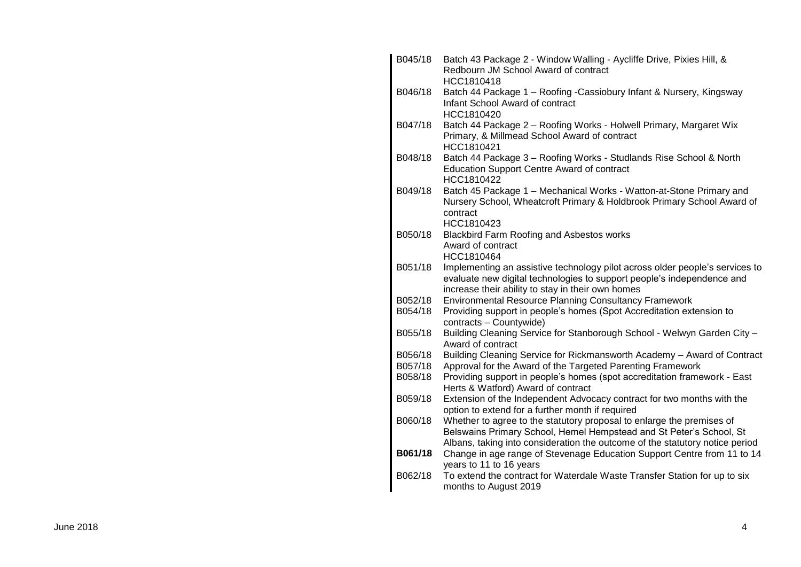| B045/18 | Batch 43 Package 2 - Window Walling - Aycliffe Drive, Pixies Hill, &<br>Redbourn JM School Award of contract<br>HCC1810418                                                                                                   |
|---------|------------------------------------------------------------------------------------------------------------------------------------------------------------------------------------------------------------------------------|
| B046/18 | Batch 44 Package 1 - Roofing - Cassiobury Infant & Nursery, Kingsway<br>Infant School Award of contract<br>HCC1810420                                                                                                        |
| B047/18 | Batch 44 Package 2 - Roofing Works - Holwell Primary, Margaret Wix<br>Primary, & Millmead School Award of contract<br>HCC1810421                                                                                             |
| B048/18 | Batch 44 Package 3 - Roofing Works - Studlands Rise School & North<br><b>Education Support Centre Award of contract</b><br>HCC1810422                                                                                        |
| B049/18 | Batch 45 Package 1 - Mechanical Works - Watton-at-Stone Primary and<br>Nursery School, Wheatcroft Primary & Holdbrook Primary School Award of<br>contract<br>HCC1810423                                                      |
| B050/18 | Blackbird Farm Roofing and Asbestos works<br>Award of contract<br>HCC1810464                                                                                                                                                 |
| B051/18 | Implementing an assistive technology pilot across older people's services to<br>evaluate new digital technologies to support people's independence and<br>increase their ability to stay in their own homes                  |
| B052/18 | <b>Environmental Resource Planning Consultancy Framework</b>                                                                                                                                                                 |
| B054/18 | Providing support in people's homes (Spot Accreditation extension to                                                                                                                                                         |
|         | contracts - Countywide)                                                                                                                                                                                                      |
| B055/18 | Building Cleaning Service for Stanborough School - Welwyn Garden City -<br>Award of contract                                                                                                                                 |
| B056/18 | Building Cleaning Service for Rickmansworth Academy - Award of Contract                                                                                                                                                      |
| B057/18 | Approval for the Award of the Targeted Parenting Framework                                                                                                                                                                   |
| B058/18 | Providing support in people's homes (spot accreditation framework - East<br>Herts & Watford) Award of contract                                                                                                               |
| B059/18 | Extension of the Independent Advocacy contract for two months with the<br>option to extend for a further month if required                                                                                                   |
| B060/18 | Whether to agree to the statutory proposal to enlarge the premises of<br>Belswains Primary School, Hemel Hempstead and St Peter's School, St<br>Albans, taking into consideration the outcome of the statutory notice period |
| B061/18 | Change in age range of Stevenage Education Support Centre from 11 to 14<br>years to 11 to 16 years                                                                                                                           |
| B062/18 | To extend the contract for Waterdale Waste Transfer Station for up to six<br>months to August 2019                                                                                                                           |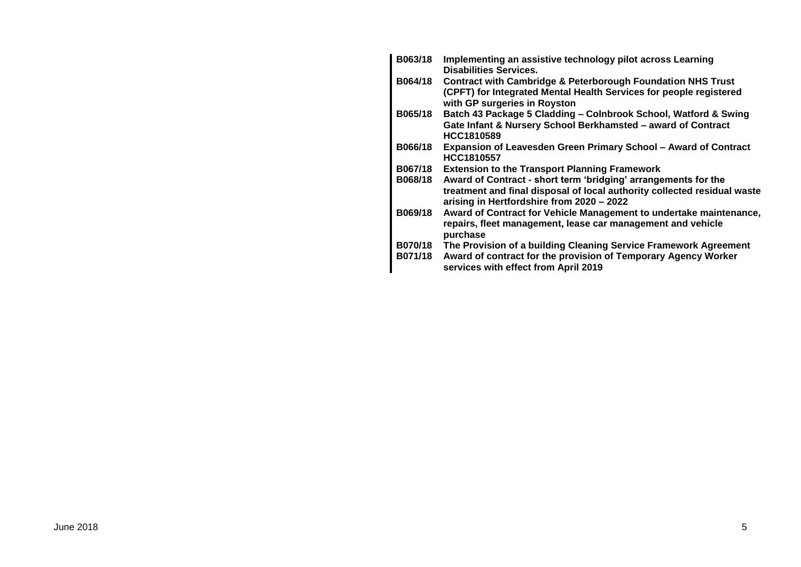| B063/18                          | Implementing an assistive technology pilot across Learning<br><b>Disabilities Services.</b>                                                                                             |
|----------------------------------|-----------------------------------------------------------------------------------------------------------------------------------------------------------------------------------------|
| B064/18                          | <b>Contract with Cambridge &amp; Peterborough Foundation NHS Trust</b><br>(CPFT) for Integrated Mental Health Services for people registered<br>with GP surgeries in Royston            |
| B065/18                          | Batch 43 Package 5 Cladding - Colnbrook School, Watford & Swing<br>Gate Infant & Nursery School Berkhamsted - award of Contract<br>HCC1810589                                           |
| <b>B066/18</b>                   | Expansion of Leavesden Green Primary School - Award of Contract<br>HCC1810557                                                                                                           |
| B067/18                          | <b>Extension to the Transport Planning Framework</b>                                                                                                                                    |
| <b>B068/18</b>                   | Award of Contract - short term 'bridging' arrangements for the<br>treatment and final disposal of local authority collected residual waste<br>arising in Hertfordshire from 2020 - 2022 |
| B069/18                          | Award of Contract for Vehicle Management to undertake maintenance,<br>repairs, fleet management, lease car management and vehicle<br>purchase                                           |
| <b>B070/18</b><br><b>B071/18</b> | The Provision of a building Cleaning Service Framework Agreement<br>Award of contract for the provision of Temporary Agency Worker<br>services with effect from April 2019              |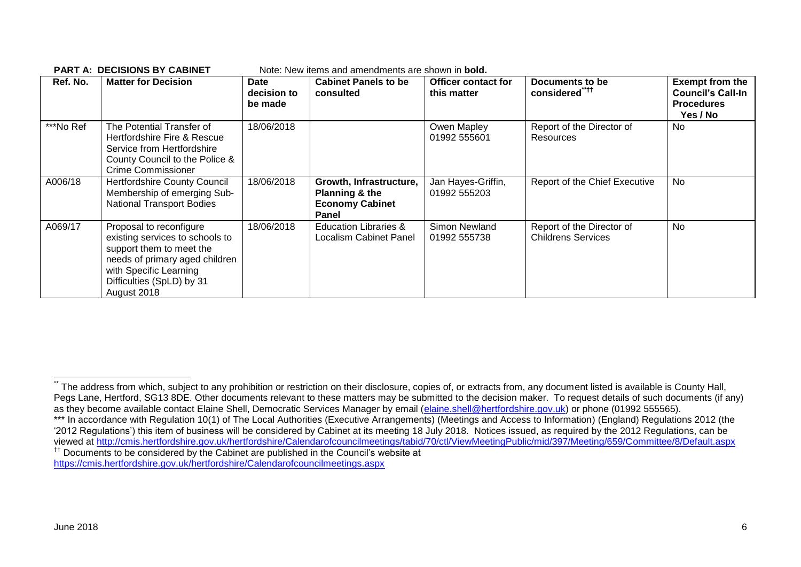| Ref. No.  | <b>Matter for Decision</b>                                                                                                                                                                     | <b>Date</b><br>decision to<br>be made | <b>Cabinet Panels to be</b><br>consulted                                     | <b>Officer contact for</b><br>this matter | Documents to be<br>considered <sup>"++</sup>           | <b>Exempt from the</b><br><b>Council's Call-In</b><br><b>Procedures</b><br>Yes / No |
|-----------|------------------------------------------------------------------------------------------------------------------------------------------------------------------------------------------------|---------------------------------------|------------------------------------------------------------------------------|-------------------------------------------|--------------------------------------------------------|-------------------------------------------------------------------------------------|
| ***No Ref | The Potential Transfer of<br>Hertfordshire Fire & Rescue<br>Service from Hertfordshire<br>County Council to the Police &<br>Crime Commissioner                                                 | 18/06/2018                            |                                                                              | Owen Mapley<br>01992 555601               | Report of the Director of<br><b>Resources</b>          | No                                                                                  |
| A006/18   | <b>Hertfordshire County Council</b><br>Membership of emerging Sub-<br><b>National Transport Bodies</b>                                                                                         | 18/06/2018                            | Growth, Infrastructure,<br>Planning & the<br><b>Economy Cabinet</b><br>Panel | Jan Hayes-Griffin,<br>01992 555203        | Report of the Chief Executive                          | No                                                                                  |
| A069/17   | Proposal to reconfigure<br>existing services to schools to<br>support them to meet the<br>needs of primary aged children<br>with Specific Learning<br>Difficulties (SpLD) by 31<br>August 2018 | 18/06/2018                            | <b>Education Libraries &amp;</b><br>Localism Cabinet Panel                   | Simon Newland<br>01992 555738             | Report of the Director of<br><b>Childrens Services</b> | <b>No</b>                                                                           |

#### **PART A: DECISIONS BY CABINET** Note: New items and amendments are shown in **bold.**

<https://cmis.hertfordshire.gov.uk/hertfordshire/Calendarofcouncilmeetings.aspx>

 $\overline{a}$ 

The address from which, subject to any prohibition or restriction on their disclosure, copies of, or extracts from, any document listed is available is County Hall, Pegs Lane, Hertford, SG13 8DE. Other documents relevant to these matters may be submitted to the decision maker. To request details of such documents (if any) as they become available contact Elaine Shell, Democratic Services Manager by email [\(elaine.shell@hertfordshire.gov.uk\)](mailto:elaine.shell@hertfordshire.gov.uk) or phone (01992 555565).

<sup>\*\*\*</sup> In accordance with Regulation 10(1) of The Local Authorities (Executive Arrangements) (Meetings and Access to Information) (England) Regulations 2012 (the '2012 Regulations') this item of business will be considered by Cabinet at its meeting 18 July 2018. Notices issued, as required by the 2012 Regulations, can be viewed at<http://cmis.hertfordshire.gov.uk/hertfordshire/Calendarofcouncilmeetings/tabid/70/ctl/ViewMeetingPublic/mid/397/Meeting/659/Committee/8/Default.aspx> †† Documents to be considered by the Cabinet are published in the Council's website at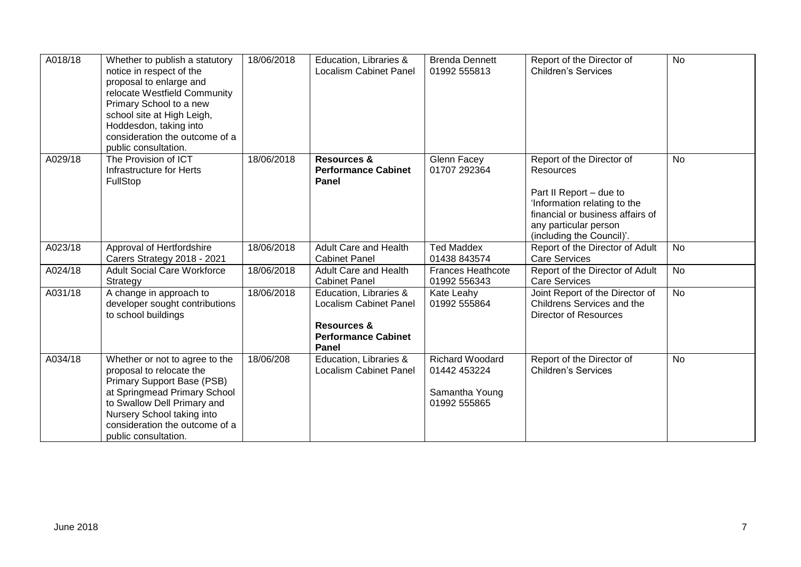| A018/18 | Whether to publish a statutory<br>notice in respect of the<br>proposal to enlarge and<br>relocate Westfield Community<br>Primary School to a new<br>school site at High Leigh,<br>Hoddesdon, taking into<br>consideration the outcome of a<br>public consultation. | 18/06/2018 | Education, Libraries &<br><b>Localism Cabinet Panel</b>                                                                  | <b>Brenda Dennett</b><br>01992 555813                                    | Report of the Director of<br><b>Children's Services</b>                                                                                                                                     | <b>No</b> |
|---------|--------------------------------------------------------------------------------------------------------------------------------------------------------------------------------------------------------------------------------------------------------------------|------------|--------------------------------------------------------------------------------------------------------------------------|--------------------------------------------------------------------------|---------------------------------------------------------------------------------------------------------------------------------------------------------------------------------------------|-----------|
| A029/18 | The Provision of ICT<br>Infrastructure for Herts<br>FullStop                                                                                                                                                                                                       | 18/06/2018 | <b>Resources &amp;</b><br><b>Performance Cabinet</b><br>Panel                                                            | Glenn Facey<br>01707 292364                                              | Report of the Director of<br>Resources<br>Part II Report - due to<br>'Information relating to the<br>financial or business affairs of<br>any particular person<br>(including the Council)'. | <b>No</b> |
| A023/18 | Approval of Hertfordshire<br>Carers Strategy 2018 - 2021                                                                                                                                                                                                           | 18/06/2018 | <b>Adult Care and Health</b><br><b>Cabinet Panel</b>                                                                     | <b>Ted Maddex</b><br>01438 843574                                        | Report of the Director of Adult<br><b>Care Services</b>                                                                                                                                     | <b>No</b> |
| A024/18 | <b>Adult Social Care Workforce</b><br>Strategy                                                                                                                                                                                                                     | 18/06/2018 | <b>Adult Care and Health</b><br><b>Cabinet Panel</b>                                                                     | <b>Frances Heathcote</b><br>01992 556343                                 | Report of the Director of Adult<br><b>Care Services</b>                                                                                                                                     | <b>No</b> |
| A031/18 | A change in approach to<br>developer sought contributions<br>to school buildings                                                                                                                                                                                   | 18/06/2018 | Education, Libraries &<br><b>Localism Cabinet Panel</b><br><b>Resources &amp;</b><br><b>Performance Cabinet</b><br>Panel | Kate Leahy<br>01992 555864                                               | Joint Report of the Director of<br>Childrens Services and the<br><b>Director of Resources</b>                                                                                               | <b>No</b> |
| A034/18 | Whether or not to agree to the<br>proposal to relocate the<br>Primary Support Base (PSB)<br>at Springmead Primary School<br>to Swallow Dell Primary and<br>Nursery School taking into<br>consideration the outcome of a<br>public consultation.                    | 18/06/208  | Education, Libraries &<br><b>Localism Cabinet Panel</b>                                                                  | <b>Richard Woodard</b><br>01442 453224<br>Samantha Young<br>01992 555865 | Report of the Director of<br><b>Children's Services</b>                                                                                                                                     | <b>No</b> |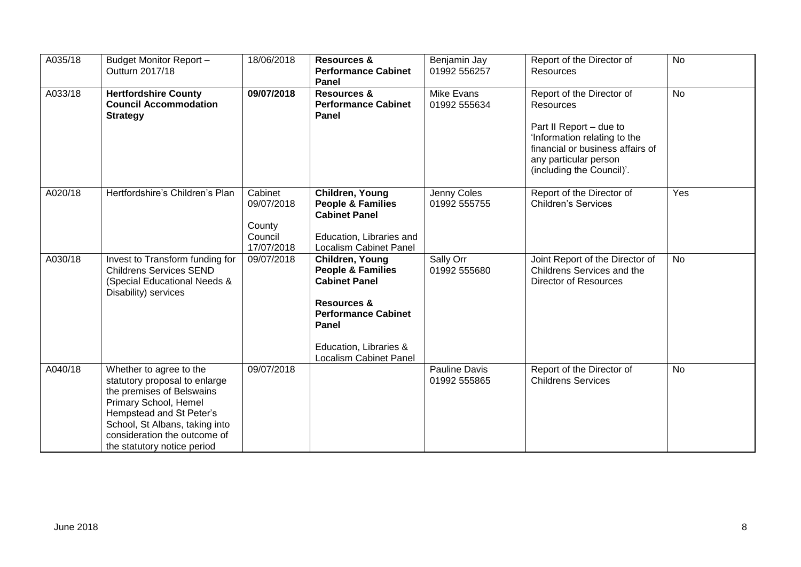| A035/18 | Budget Monitor Report-<br>Outturn 2017/18                                                                                                                                                                                                   | 18/06/2018                                               | <b>Resources &amp;</b><br><b>Performance Cabinet</b><br>Panel                                                                                                                                | Benjamin Jay<br>01992 556257         | Report of the Director of<br><b>Resources</b>                                                                                                                                               | <b>No</b> |
|---------|---------------------------------------------------------------------------------------------------------------------------------------------------------------------------------------------------------------------------------------------|----------------------------------------------------------|----------------------------------------------------------------------------------------------------------------------------------------------------------------------------------------------|--------------------------------------|---------------------------------------------------------------------------------------------------------------------------------------------------------------------------------------------|-----------|
| A033/18 | <b>Hertfordshire County</b><br><b>Council Accommodation</b><br><b>Strategy</b>                                                                                                                                                              | 09/07/2018                                               | <b>Resources &amp;</b><br><b>Performance Cabinet</b><br>Panel                                                                                                                                | <b>Mike Evans</b><br>01992 555634    | Report of the Director of<br>Resources<br>Part II Report - due to<br>'Information relating to the<br>financial or business affairs of<br>any particular person<br>(including the Council)'. | <b>No</b> |
| A020/18 | Hertfordshire's Children's Plan                                                                                                                                                                                                             | Cabinet<br>09/07/2018<br>County<br>Council<br>17/07/2018 | Children, Young<br><b>People &amp; Families</b><br><b>Cabinet Panel</b><br>Education, Libraries and<br><b>Localism Cabinet Panel</b>                                                         | Jenny Coles<br>01992 555755          | Report of the Director of<br><b>Children's Services</b>                                                                                                                                     | Yes       |
| A030/18 | Invest to Transform funding for<br><b>Childrens Services SEND</b><br>(Special Educational Needs &<br>Disability) services                                                                                                                   | 09/07/2018                                               | Children, Young<br><b>People &amp; Families</b><br><b>Cabinet Panel</b><br><b>Resources &amp;</b><br><b>Performance Cabinet</b><br>Panel<br>Education, Libraries &<br>Localism Cabinet Panel | Sally Orr<br>01992 555680            | Joint Report of the Director of<br>Childrens Services and the<br><b>Director of Resources</b>                                                                                               | <b>No</b> |
| A040/18 | Whether to agree to the<br>statutory proposal to enlarge<br>the premises of Belswains<br>Primary School, Hemel<br>Hempstead and St Peter's<br>School, St Albans, taking into<br>consideration the outcome of<br>the statutory notice period | 09/07/2018                                               |                                                                                                                                                                                              | <b>Pauline Davis</b><br>01992 555865 | Report of the Director of<br><b>Childrens Services</b>                                                                                                                                      | <b>No</b> |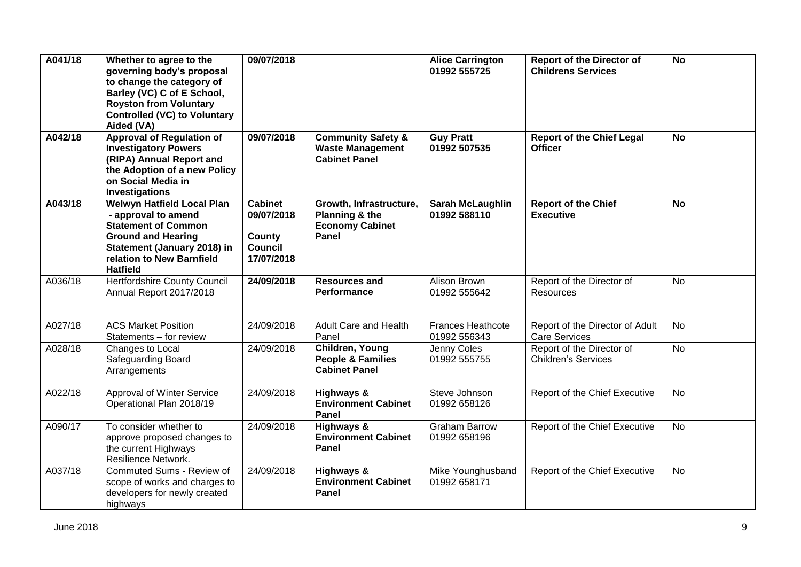| A041/18 | Whether to agree to the<br>governing body's proposal<br>to change the category of<br>Barley (VC) C of E School,<br><b>Royston from Voluntary</b><br><b>Controlled (VC) to Voluntary</b><br>Aided (VA) | 09/07/2018                                                             |                                                                                     | <b>Alice Carrington</b><br>01992 555725  | <b>Report of the Director of</b><br><b>Childrens Services</b> | <b>No</b> |
|---------|-------------------------------------------------------------------------------------------------------------------------------------------------------------------------------------------------------|------------------------------------------------------------------------|-------------------------------------------------------------------------------------|------------------------------------------|---------------------------------------------------------------|-----------|
| A042/18 | <b>Approval of Regulation of</b><br><b>Investigatory Powers</b><br>(RIPA) Annual Report and<br>the Adoption of a new Policy<br>on Social Media in<br>Investigations                                   | 09/07/2018                                                             | <b>Community Safety &amp;</b><br><b>Waste Management</b><br><b>Cabinet Panel</b>    | <b>Guy Pratt</b><br>01992 507535         | <b>Report of the Chief Legal</b><br><b>Officer</b>            | <b>No</b> |
| A043/18 | <b>Welwyn Hatfield Local Plan</b><br>- approval to amend<br><b>Statement of Common</b><br><b>Ground and Hearing</b><br>Statement (January 2018) in<br>relation to New Barnfield<br><b>Hatfield</b>    | <b>Cabinet</b><br>09/07/2018<br>County<br><b>Council</b><br>17/07/2018 | Growth, Infrastructure,<br>Planning & the<br><b>Economy Cabinet</b><br><b>Panel</b> | <b>Sarah McLaughlin</b><br>01992 588110  | <b>Report of the Chief</b><br><b>Executive</b>                | <b>No</b> |
| A036/18 | <b>Hertfordshire County Council</b><br>Annual Report 2017/2018                                                                                                                                        | 24/09/2018                                                             | <b>Resources and</b><br>Performance                                                 | Alison Brown<br>01992 555642             | Report of the Director of<br>Resources                        | <b>No</b> |
| A027/18 | <b>ACS Market Position</b><br>Statements - for review                                                                                                                                                 | 24/09/2018                                                             | Adult Care and Health<br>Panel                                                      | <b>Frances Heathcote</b><br>01992 556343 | Report of the Director of Adult<br><b>Care Services</b>       | <b>No</b> |
| A028/18 | Changes to Local<br><b>Safeguarding Board</b><br>Arrangements                                                                                                                                         | 24/09/2018                                                             | Children, Young<br><b>People &amp; Families</b><br><b>Cabinet Panel</b>             | Jenny Coles<br>01992 555755              | Report of the Director of<br><b>Children's Services</b>       | No        |
| A022/18 | <b>Approval of Winter Service</b><br>Operational Plan 2018/19                                                                                                                                         | 24/09/2018                                                             | Highways &<br><b>Environment Cabinet</b><br>Panel                                   | Steve Johnson<br>01992 658126            | Report of the Chief Executive                                 | <b>No</b> |
| A090/17 | To consider whether to<br>approve proposed changes to<br>the current Highways<br>Resilience Network.                                                                                                  | 24/09/2018                                                             | Highways &<br><b>Environment Cabinet</b><br>Panel                                   | <b>Graham Barrow</b><br>01992 658196     | Report of the Chief Executive                                 | No        |
| A037/18 | Commuted Sums - Review of<br>scope of works and charges to<br>developers for newly created<br>highways                                                                                                | 24/09/2018                                                             | Highways &<br><b>Environment Cabinet</b><br>Panel                                   | Mike Younghusband<br>01992 658171        | Report of the Chief Executive                                 | <b>No</b> |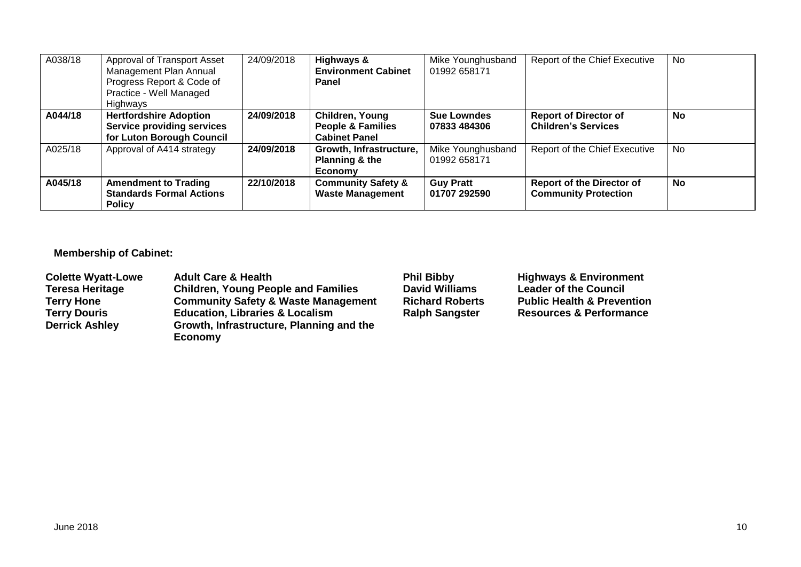| A038/18 | Approval of Transport Asset<br>Management Plan Annual<br>Progress Report & Code of<br>Practice - Well Managed<br>Highways | 24/09/2018 | Highways &<br><b>Environment Cabinet</b><br>Panel                       | Mike Younghusband<br>01992 658171  | Report of the Chief Executive                                   | No |
|---------|---------------------------------------------------------------------------------------------------------------------------|------------|-------------------------------------------------------------------------|------------------------------------|-----------------------------------------------------------------|----|
| A044/18 | <b>Hertfordshire Adoption</b><br><b>Service providing services</b><br>for Luton Borough Council                           | 24/09/2018 | Children, Young<br><b>People &amp; Families</b><br><b>Cabinet Panel</b> | <b>Sue Lowndes</b><br>07833 484306 | <b>Report of Director of</b><br><b>Children's Services</b>      | No |
| A025/18 | Approval of A414 strategy                                                                                                 | 24/09/2018 | Growth, Infrastructure,<br>Planning & the<br>Economy                    | Mike Younghusband<br>01992 658171  | Report of the Chief Executive                                   | No |
| A045/18 | <b>Amendment to Trading</b><br><b>Standards Formal Actions</b><br><b>Policy</b>                                           | 22/10/2018 | <b>Community Safety &amp;</b><br><b>Waste Management</b>                | <b>Guy Pratt</b><br>01707 292590   | <b>Report of the Director of</b><br><b>Community Protection</b> | No |

# **Membership of Cabinet:**

| <b>Colette Wyatt-Lowe</b> | <b>Adult Care &amp; Health</b>                 | <b>Phil Bibby</b>      | <b>Highways &amp; Environment</b>     |
|---------------------------|------------------------------------------------|------------------------|---------------------------------------|
| <b>Teresa Heritage</b>    | <b>Children, Young People and Families</b>     | <b>David Williams</b>  | <b>Leader of the Council</b>          |
| <b>Terry Hone</b>         | <b>Community Safety &amp; Waste Management</b> | <b>Richard Roberts</b> | <b>Public Health &amp; Prevention</b> |
| <b>Terry Douris</b>       | <b>Education, Libraries &amp; Localism</b>     | <b>Ralph Sangster</b>  | <b>Resources &amp; Performance</b>    |
| <b>Derrick Ashley</b>     | Growth, Infrastructure, Planning and the       |                        |                                       |
|                           | Economy                                        |                        |                                       |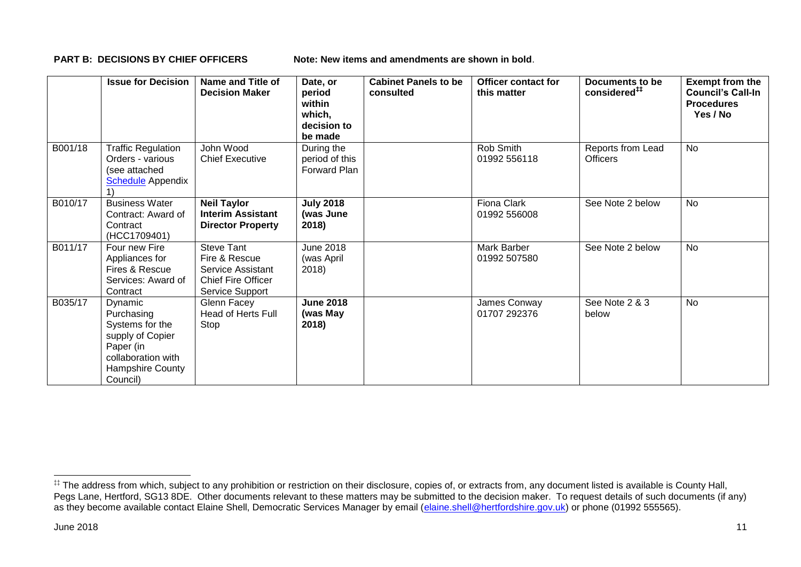**PART B: DECISIONS BY CHIEF OFFICERS Note: New items and amendments are shown in bold.** 

|         | <b>Issue for Decision</b>                                                                                                       | Name and Title of<br><b>Decision Maker</b>                                                                     | Date, or<br>period<br>within<br>which,<br>decision to<br>be made | <b>Cabinet Panels to be</b><br>consulted | <b>Officer contact for</b><br>this matter | Documents to be<br>considered <sup>##</sup> | <b>Exempt from the</b><br><b>Council's Call-In</b><br><b>Procedures</b><br>Yes / No |
|---------|---------------------------------------------------------------------------------------------------------------------------------|----------------------------------------------------------------------------------------------------------------|------------------------------------------------------------------|------------------------------------------|-------------------------------------------|---------------------------------------------|-------------------------------------------------------------------------------------|
| B001/18 | <b>Traffic Regulation</b><br>Orders - various<br>(see attached<br><b>Schedule</b> Appendix                                      | John Wood<br><b>Chief Executive</b>                                                                            | During the<br>period of this<br>Forward Plan                     |                                          | Rob Smith<br>01992 556118                 | Reports from Lead<br><b>Officers</b>        | <b>No</b>                                                                           |
| B010/17 | <b>Business Water</b><br>Contract: Award of<br>Contract<br>(HCC1709401)                                                         | <b>Neil Taylor</b><br><b>Interim Assistant</b><br><b>Director Property</b>                                     | <b>July 2018</b><br>(was June<br>2018)                           |                                          | Fiona Clark<br>01992 556008               | See Note 2 below                            | No                                                                                  |
| B011/17 | Four new Fire<br>Appliances for<br>Fires & Rescue<br>Services: Award of<br>Contract                                             | <b>Steve Tant</b><br>Fire & Rescue<br>Service Assistant<br><b>Chief Fire Officer</b><br><b>Service Support</b> | <b>June 2018</b><br>(was April<br>2018)                          |                                          | Mark Barber<br>01992 507580               | See Note 2 below                            | No                                                                                  |
| B035/17 | Dynamic<br>Purchasing<br>Systems for the<br>supply of Copier<br>Paper (in<br>collaboration with<br>Hampshire County<br>Council) | Glenn Facey<br><b>Head of Herts Full</b><br>Stop                                                               | <b>June 2018</b><br>(was May<br>2018)                            |                                          | James Conway<br>01707 292376              | See Note 2 & 3<br>below                     | <b>No</b>                                                                           |

1

<sup>‡‡</sup> The address from which, subject to any prohibition or restriction on their disclosure, copies of, or extracts from, any document listed is available is County Hall, Pegs Lane, Hertford, SG13 8DE. Other documents relevant to these matters may be submitted to the decision maker. To request details of such documents (if any) as they become available contact Elaine Shell, Democratic Services Manager by email [\(elaine.shell@hertfordshire.gov.uk\)](mailto:elaine.shell@hertfordshire.gov.uk) or phone (01992 55565).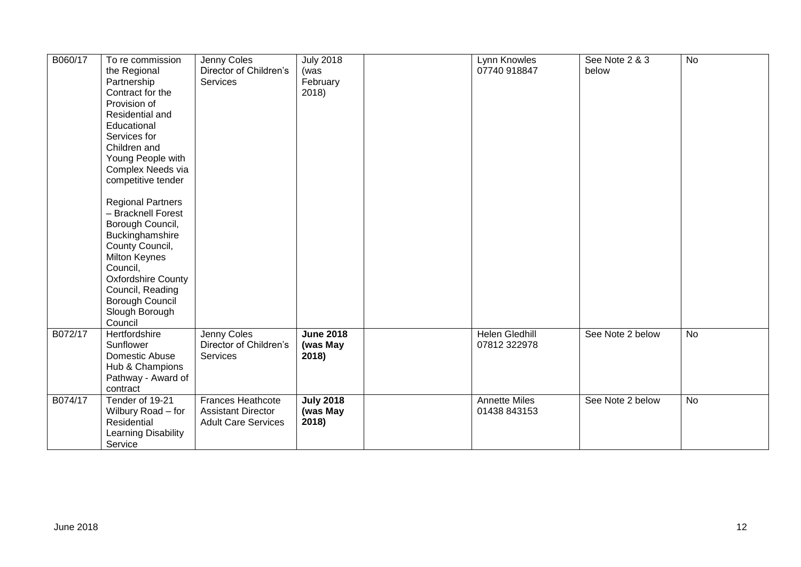| B060/17 | To re commission<br>the Regional<br>Partnership<br>Contract for the<br>Provision of<br>Residential and<br>Educational<br>Services for<br>Children and<br>Young People with<br>Complex Needs via<br>competitive tender<br><b>Regional Partners</b><br>- Bracknell Forest<br>Borough Council,<br>Buckinghamshire<br>County Council,<br><b>Milton Keynes</b><br>Council,<br><b>Oxfordshire County</b><br>Council, Reading<br>Borough Council<br>Slough Borough<br>Council | Jenny Coles<br>Director of Children's<br><b>Services</b>                            | <b>July 2018</b><br>(was<br>February<br>2018) | Lynn Knowles<br>07740 918847          | See Note 2 & 3<br>below | No |
|---------|------------------------------------------------------------------------------------------------------------------------------------------------------------------------------------------------------------------------------------------------------------------------------------------------------------------------------------------------------------------------------------------------------------------------------------------------------------------------|-------------------------------------------------------------------------------------|-----------------------------------------------|---------------------------------------|-------------------------|----|
| B072/17 | Hertfordshire<br>Sunflower<br>Domestic Abuse<br>Hub & Champions<br>Pathway - Award of<br>contract                                                                                                                                                                                                                                                                                                                                                                      | Jenny Coles<br>Director of Children's<br>Services                                   | <b>June 2018</b><br>(was May<br>2018)         | <b>Helen Gledhill</b><br>07812 322978 | See Note 2 below        | No |
| B074/17 | Tender of 19-21<br>Wilbury Road - for<br>Residential<br>Learning Disability<br>Service                                                                                                                                                                                                                                                                                                                                                                                 | <b>Frances Heathcote</b><br><b>Assistant Director</b><br><b>Adult Care Services</b> | <b>July 2018</b><br>(was May<br>2018)         | <b>Annette Miles</b><br>01438 843153  | See Note 2 below        | No |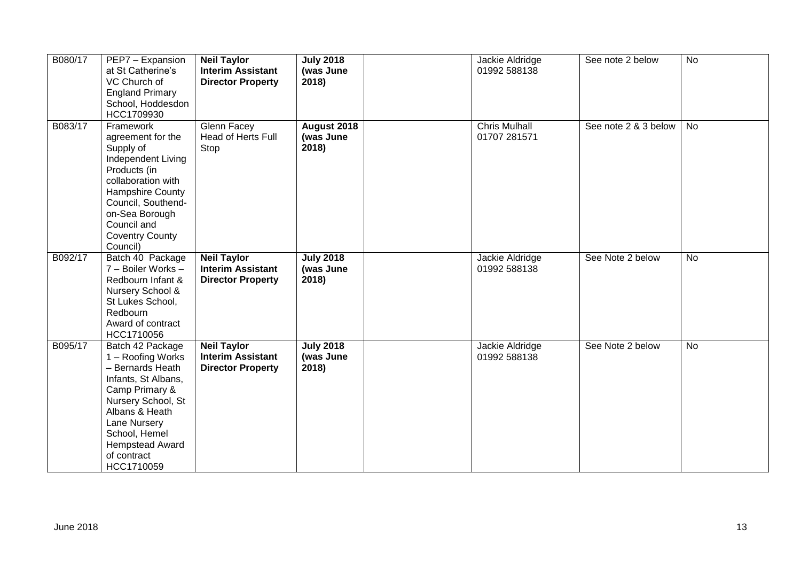| B080/17 | PEP7 - Expansion<br>at St Catherine's<br>VC Church of<br><b>England Primary</b><br>School, Hoddesdon                                                                                                                                   | <b>Neil Taylor</b><br><b>Interim Assistant</b><br><b>Director Property</b> | <b>July 2018</b><br>(was June<br>2018) | Jackie Aldridge<br>01992 588138      | See note 2 below     | <b>No</b> |
|---------|----------------------------------------------------------------------------------------------------------------------------------------------------------------------------------------------------------------------------------------|----------------------------------------------------------------------------|----------------------------------------|--------------------------------------|----------------------|-----------|
| B083/17 | HCC1709930<br>Framework<br>agreement for the<br>Supply of<br>Independent Living<br>Products (in<br>collaboration with<br>Hampshire County<br>Council, Southend-<br>on-Sea Borough<br>Council and<br><b>Coventry County</b><br>Council) | Glenn Facey<br>Head of Herts Full<br>Stop                                  | August 2018<br>(was June<br>2018)      | <b>Chris Mulhall</b><br>01707 281571 | See note 2 & 3 below | No        |
| B092/17 | Batch 40 Package<br>7 - Boiler Works -<br>Redbourn Infant &<br>Nursery School &<br>St Lukes School,<br>Redbourn<br>Award of contract<br>HCC1710056                                                                                     | <b>Neil Taylor</b><br><b>Interim Assistant</b><br><b>Director Property</b> | <b>July 2018</b><br>(was June<br>2018) | Jackie Aldridge<br>01992 588138      | See Note 2 below     | <b>No</b> |
| B095/17 | Batch 42 Package<br>1 - Roofing Works<br>- Bernards Heath<br>Infants, St Albans,<br>Camp Primary &<br>Nursery School, St<br>Albans & Heath<br>Lane Nursery<br>School, Hemel<br><b>Hempstead Award</b><br>of contract<br>HCC1710059     | <b>Neil Taylor</b><br><b>Interim Assistant</b><br><b>Director Property</b> | <b>July 2018</b><br>(was June<br>2018) | Jackie Aldridge<br>01992 588138      | See Note 2 below     | No        |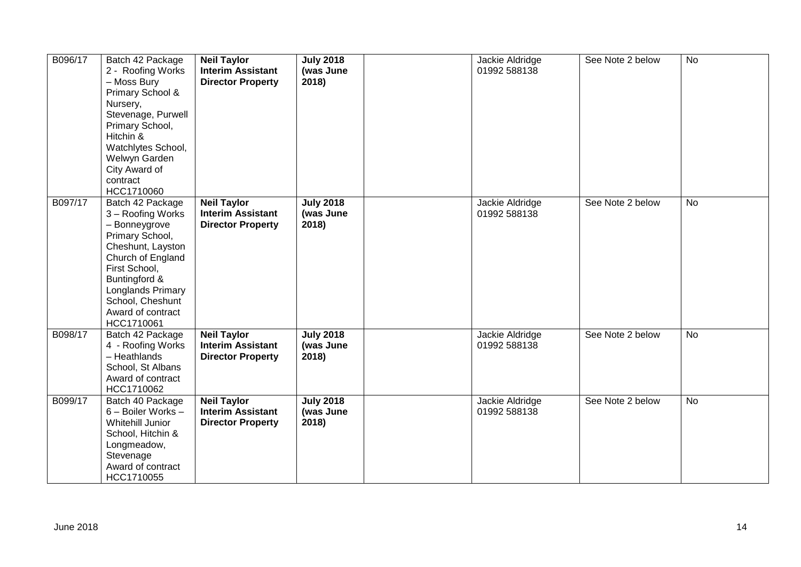| B096/17 | Batch 42 Package<br>2 - Roofing Works<br>- Moss Bury<br>Primary School &<br>Nursery,<br>Stevenage, Purwell<br>Primary School,<br>Hitchin &<br>Watchlytes School,<br>Welwyn Garden<br>City Award of<br>contract<br>HCC1710060      | <b>Neil Taylor</b><br><b>Interim Assistant</b><br><b>Director Property</b> | <b>July 2018</b><br>(was June<br>2018) | Jackie Aldridge<br>01992 588138 | See Note 2 below | No        |
|---------|-----------------------------------------------------------------------------------------------------------------------------------------------------------------------------------------------------------------------------------|----------------------------------------------------------------------------|----------------------------------------|---------------------------------|------------------|-----------|
| B097/17 | Batch 42 Package<br>3 - Roofing Works<br>- Bonneygrove<br>Primary School,<br>Cheshunt, Layston<br>Church of England<br>First School,<br>Buntingford &<br>Longlands Primary<br>School, Cheshunt<br>Award of contract<br>HCC1710061 | <b>Neil Taylor</b><br><b>Interim Assistant</b><br><b>Director Property</b> | <b>July 2018</b><br>(was June<br>2018) | Jackie Aldridge<br>01992 588138 | See Note 2 below | <b>No</b> |
| B098/17 | Batch 42 Package<br>4 - Roofing Works<br>- Heathlands<br>School, St Albans<br>Award of contract<br>HCC1710062                                                                                                                     | <b>Neil Taylor</b><br><b>Interim Assistant</b><br><b>Director Property</b> | <b>July 2018</b><br>(was June<br>2018) | Jackie Aldridge<br>01992 588138 | See Note 2 below | <b>No</b> |
| B099/17 | Batch 40 Package<br>6 - Boiler Works -<br><b>Whitehill Junior</b><br>School, Hitchin &<br>Longmeadow,<br>Stevenage<br>Award of contract<br>HCC1710055                                                                             | <b>Neil Taylor</b><br><b>Interim Assistant</b><br><b>Director Property</b> | <b>July 2018</b><br>(was June<br>2018) | Jackie Aldridge<br>01992 588138 | See Note 2 below | No        |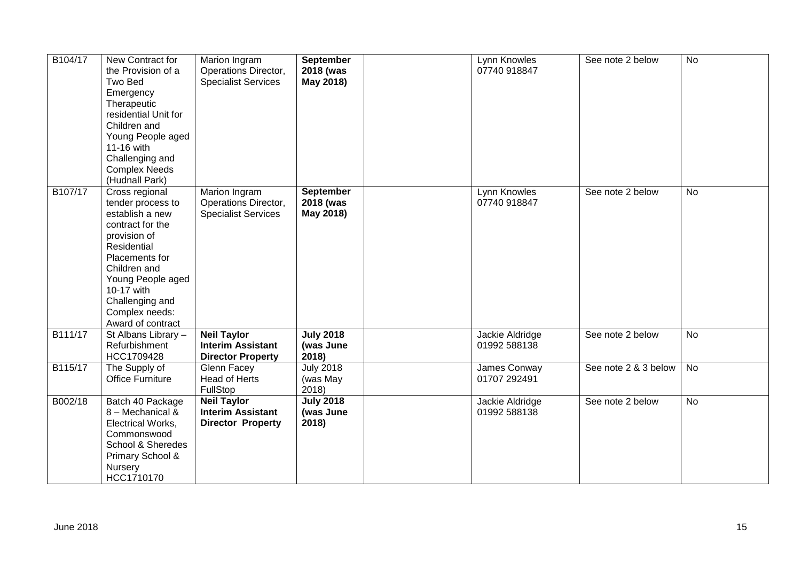| B104/17 | New Contract for<br>the Provision of a<br>Two Bed<br>Emergency<br>Therapeutic<br>residential Unit for<br>Children and<br>Young People aged<br>11-16 with<br>Challenging and<br><b>Complex Needs</b><br>(Hudnall Park)                    | Marion Ingram<br>Operations Director,<br><b>Specialist Services</b>        | <b>September</b><br>2018 (was<br>May 2018) | Lynn Knowles<br>07740 918847    | See note 2 below     | No        |
|---------|------------------------------------------------------------------------------------------------------------------------------------------------------------------------------------------------------------------------------------------|----------------------------------------------------------------------------|--------------------------------------------|---------------------------------|----------------------|-----------|
| B107/17 | Cross regional<br>tender process to<br>establish a new<br>contract for the<br>provision of<br>Residential<br>Placements for<br>Children and<br>Young People aged<br>10-17 with<br>Challenging and<br>Complex needs:<br>Award of contract | Marion Ingram<br>Operations Director,<br><b>Specialist Services</b>        | September<br>2018 (was<br>May 2018)        | Lynn Knowles<br>07740 918847    | See note 2 below     | No        |
| B111/17 | St Albans Library -<br>Refurbishment<br>HCC1709428                                                                                                                                                                                       | <b>Neil Taylor</b><br><b>Interim Assistant</b><br><b>Director Property</b> | <b>July 2018</b><br>(was June<br>2018)     | Jackie Aldridge<br>01992 588138 | See note 2 below     | <b>No</b> |
| B115/17 | The Supply of<br><b>Office Furniture</b>                                                                                                                                                                                                 | Glenn Facey<br>Head of Herts<br>FullStop                                   | <b>July 2018</b><br>(was May<br>2018)      | James Conway<br>01707 292491    | See note 2 & 3 below | No        |
| B002/18 | Batch 40 Package<br>8 - Mechanical &<br>Electrical Works,<br>Commonswood<br>School & Sheredes<br>Primary School &<br>Nursery<br>HCC1710170                                                                                               | <b>Neil Taylor</b><br><b>Interim Assistant</b><br><b>Director Property</b> | <b>July 2018</b><br>(was June<br>2018)     | Jackie Aldridge<br>01992 588138 | See note 2 below     | No        |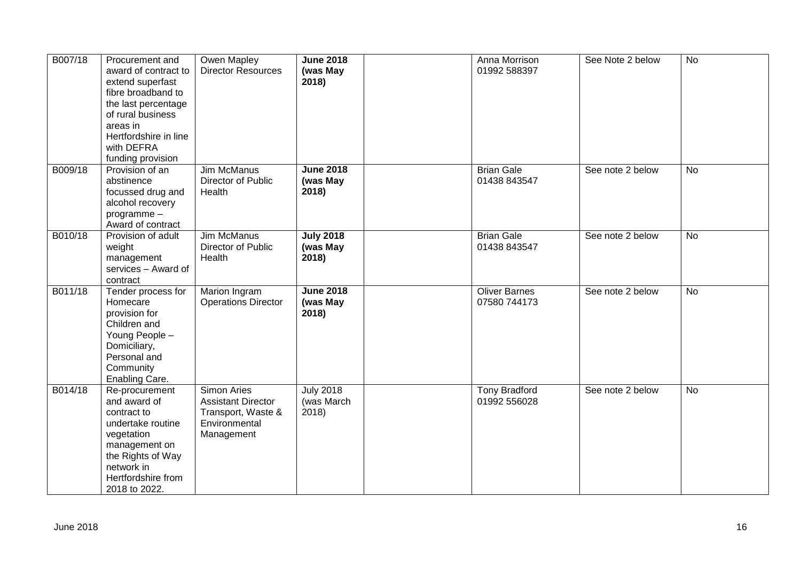| B007/18 | Procurement and<br>award of contract to<br>extend superfast<br>fibre broadband to<br>the last percentage<br>of rural business<br>areas in<br>Hertfordshire in line<br>with DEFRA<br>funding provision | Owen Mapley<br><b>Director Resources</b>                                                      | <b>June 2018</b><br>(was May<br>2018)   | Anna Morrison<br>01992 588397        | See Note 2 below | No             |
|---------|-------------------------------------------------------------------------------------------------------------------------------------------------------------------------------------------------------|-----------------------------------------------------------------------------------------------|-----------------------------------------|--------------------------------------|------------------|----------------|
| B009/18 | Provision of an<br>abstinence<br>focussed drug and<br>alcohol recovery<br>programme-<br>Award of contract                                                                                             | <b>Jim McManus</b><br>Director of Public<br>Health                                            | <b>June 2018</b><br>(was May<br>2018)   | <b>Brian Gale</b><br>01438 843547    | See note 2 below | No             |
| B010/18 | Provision of adult<br>weight<br>management<br>services - Award of<br>contract                                                                                                                         | Jim McManus<br>Director of Public<br>Health                                                   | <b>July 2018</b><br>(was May<br>2018)   | <b>Brian Gale</b><br>01438 843547    | See note 2 below | <b>No</b>      |
| B011/18 | Tender process for<br>Homecare<br>provision for<br>Children and<br>Young People -<br>Domiciliary,<br>Personal and<br>Community<br>Enabling Care.                                                      | Marion Ingram<br><b>Operations Director</b>                                                   | <b>June 2018</b><br>(was May<br>2018)   | <b>Oliver Barnes</b><br>07580 744173 | See note 2 below | $\overline{N}$ |
| B014/18 | Re-procurement<br>and award of<br>contract to<br>undertake routine<br>vegetation<br>management on<br>the Rights of Way<br>network in<br>Hertfordshire from<br>2018 to 2022.                           | Simon Aries<br><b>Assistant Director</b><br>Transport, Waste &<br>Environmental<br>Management | <b>July 2018</b><br>(was March<br>2018) | <b>Tony Bradford</b><br>01992 556028 | See note 2 below | No             |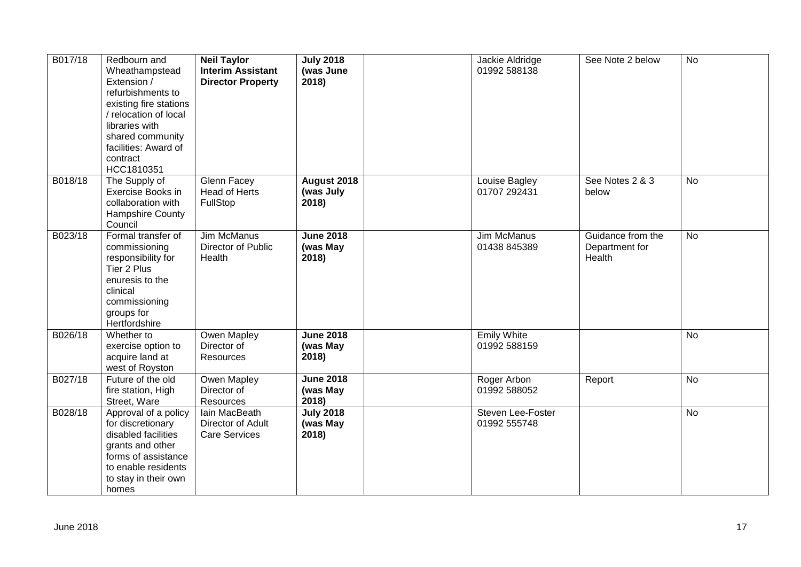| B017/18 | Redbourn and<br>Wheathampstead<br>Extension /<br>refurbishments to<br>existing fire stations<br>/ relocation of local<br>libraries with<br>shared community<br>facilities: Award of<br>contract<br>HCC1810351 | <b>Neil Taylor</b><br><b>Interim Assistant</b><br><b>Director Property</b> | <b>July 2018</b><br>(was June<br>2018) | Jackie Aldridge<br>01992 588138    | See Note 2 below                              | <b>No</b> |
|---------|---------------------------------------------------------------------------------------------------------------------------------------------------------------------------------------------------------------|----------------------------------------------------------------------------|----------------------------------------|------------------------------------|-----------------------------------------------|-----------|
| B018/18 | The Supply of<br>Exercise Books in<br>collaboration with<br>Hampshire County<br>Council                                                                                                                       | <b>Glenn Facey</b><br>Head of Herts<br>FullStop                            | August 2018<br>(was July<br>2018)      | Louise Bagley<br>01707 292431      | See Notes 2 & 3<br>below                      | No        |
| B023/18 | Formal transfer of<br>commissioning<br>responsibility for<br>Tier 2 Plus<br>enuresis to the<br>clinical<br>commissioning<br>groups for<br>Hertfordshire                                                       | Jim McManus<br>Director of Public<br>Health                                | <b>June 2018</b><br>(was May<br>2018)  | Jim McManus<br>01438 845389        | Guidance from the<br>Department for<br>Health | <b>No</b> |
| B026/18 | Whether to<br>exercise option to<br>acquire land at<br>west of Royston                                                                                                                                        | <b>Owen Mapley</b><br>Director of<br>Resources                             | <b>June 2018</b><br>(was May<br>2018)  | <b>Emily White</b><br>01992 588159 |                                               | <b>No</b> |
| B027/18 | Future of the old<br>fire station, High<br>Street, Ware                                                                                                                                                       | <b>Owen Mapley</b><br>Director of<br>Resources                             | <b>June 2018</b><br>(was May<br>2018   | Roger Arbon<br>01992 588052        | Report                                        | <b>No</b> |
| B028/18 | Approval of a policy<br>for discretionary<br>disabled facilities<br>grants and other<br>forms of assistance<br>to enable residents<br>to stay in their own<br>homes                                           | Iain MacBeath<br>Director of Adult<br><b>Care Services</b>                 | <b>July 2018</b><br>(was May<br>2018)  | Steven Lee-Foster<br>01992 555748  |                                               | No        |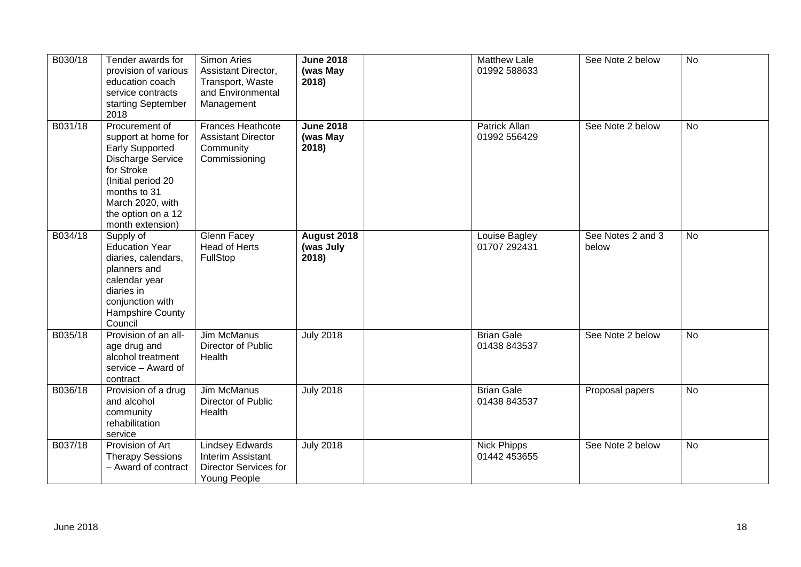| B030/18 | Tender awards for<br>provision of various<br>education coach<br>service contracts<br>starting September<br>2018                                                                                               | Simon Aries<br>Assistant Director,<br>Transport, Waste<br>and Environmental<br>Management          | <b>June 2018</b><br>(was May<br>2018) | <b>Matthew Lale</b><br>01992 588633 | See Note 2 below           | No             |
|---------|---------------------------------------------------------------------------------------------------------------------------------------------------------------------------------------------------------------|----------------------------------------------------------------------------------------------------|---------------------------------------|-------------------------------------|----------------------------|----------------|
| B031/18 | Procurement of<br>support at home for<br><b>Early Supported</b><br><b>Discharge Service</b><br>for Stroke<br>(Initial period 20<br>months to 31<br>March 2020, with<br>the option on a 12<br>month extension) | Frances Heathcote<br><b>Assistant Director</b><br>Community<br>Commissioning                       | <b>June 2018</b><br>(was May<br>2018) | Patrick Allan<br>01992 556429       | See Note 2 below           | <b>No</b>      |
| B034/18 | Supply of<br><b>Education Year</b><br>diaries, calendars,<br>planners and<br>calendar year<br>diaries in<br>conjunction with<br>Hampshire County<br>Council                                                   | Glenn Facey<br>Head of Herts<br>FullStop                                                           | August 2018<br>(was July<br>2018)     | Louise Bagley<br>01707 292431       | See Notes 2 and 3<br>below | No             |
| B035/18 | Provision of an all-<br>age drug and<br>alcohol treatment<br>service - Award of<br>contract                                                                                                                   | <b>Jim McManus</b><br>Director of Public<br>Health                                                 | <b>July 2018</b>                      | <b>Brian Gale</b><br>01438 843537   | See Note 2 below           | $\overline{N}$ |
| B036/18 | Provision of a drug<br>and alcohol<br>community<br>rehabilitation<br>service                                                                                                                                  | Jim McManus<br>Director of Public<br>Health                                                        | <b>July 2018</b>                      | <b>Brian Gale</b><br>01438 843537   | Proposal papers            | No             |
| B037/18 | Provision of Art<br><b>Therapy Sessions</b><br>- Award of contract                                                                                                                                            | <b>Lindsey Edwards</b><br><b>Interim Assistant</b><br><b>Director Services for</b><br>Young People | <b>July 2018</b>                      | <b>Nick Phipps</b><br>01442 453655  | See Note 2 below           | No             |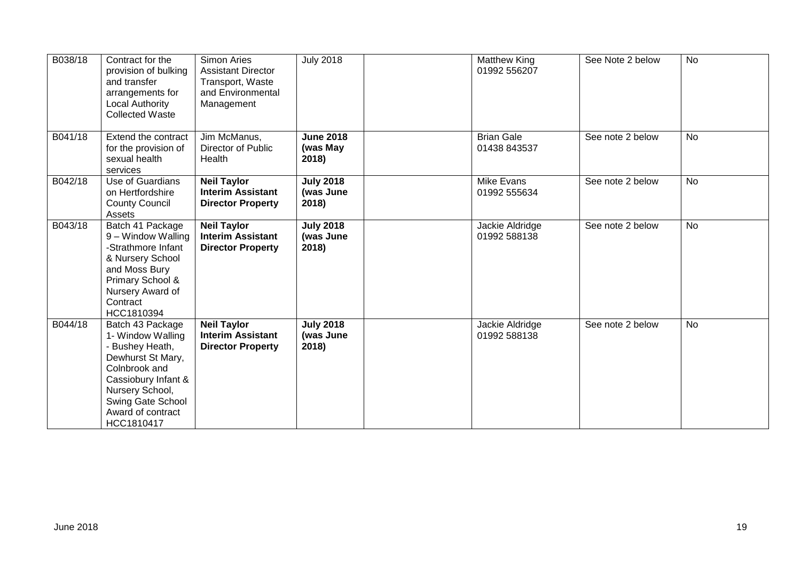| B038/18 | Contract for the<br>provision of bulking<br>and transfer<br>arrangements for<br><b>Local Authority</b><br><b>Collected Waste</b>                                                                 | Simon Aries<br><b>Assistant Director</b><br>Transport, Waste<br>and Environmental<br>Management | <b>July 2018</b>                       | <b>Matthew King</b><br>01992 556207 | See Note 2 below | <b>No</b> |
|---------|--------------------------------------------------------------------------------------------------------------------------------------------------------------------------------------------------|-------------------------------------------------------------------------------------------------|----------------------------------------|-------------------------------------|------------------|-----------|
| B041/18 | Extend the contract<br>for the provision of<br>sexual health<br>services                                                                                                                         | Jim McManus,<br>Director of Public<br>Health                                                    | <b>June 2018</b><br>(was May<br>2018)  | <b>Brian Gale</b><br>01438 843537   | See note 2 below | No        |
| B042/18 | Use of Guardians<br>on Hertfordshire<br><b>County Council</b><br>Assets                                                                                                                          | <b>Neil Taylor</b><br><b>Interim Assistant</b><br><b>Director Property</b>                      | <b>July 2018</b><br>(was June<br>2018) | Mike Evans<br>01992 555634          | See note 2 below | <b>No</b> |
| B043/18 | Batch 41 Package<br>9 - Window Walling<br>-Strathmore Infant<br>& Nursery School<br>and Moss Bury<br>Primary School &<br>Nursery Award of<br>Contract<br>HCC1810394                              | <b>Neil Taylor</b><br><b>Interim Assistant</b><br><b>Director Property</b>                      | <b>July 2018</b><br>(was June<br>2018) | Jackie Aldridge<br>01992 588138     | See note 2 below | No        |
| B044/18 | Batch 43 Package<br>1- Window Walling<br>- Bushey Heath,<br>Dewhurst St Mary,<br>Colnbrook and<br>Cassiobury Infant &<br>Nursery School,<br>Swing Gate School<br>Award of contract<br>HCC1810417 | <b>Neil Taylor</b><br><b>Interim Assistant</b><br><b>Director Property</b>                      | <b>July 2018</b><br>(was June<br>2018) | Jackie Aldridge<br>01992 588138     | See note 2 below | <b>No</b> |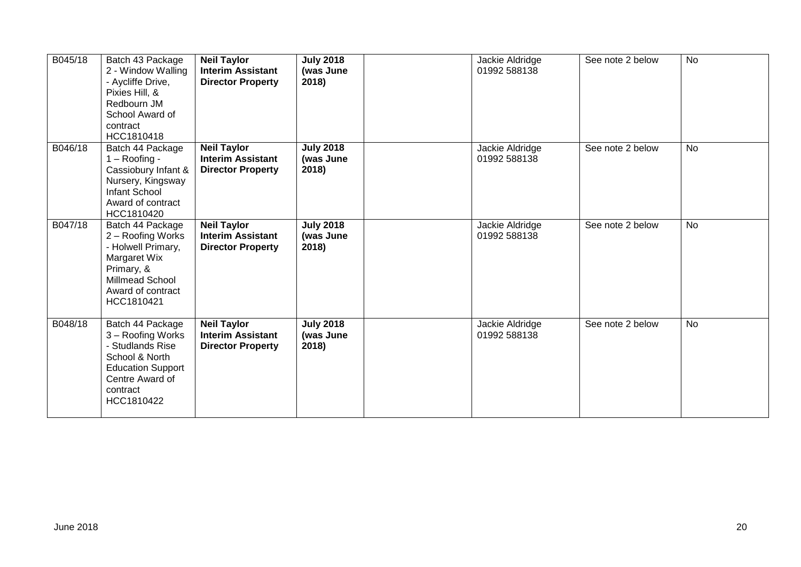| B045/18 | Batch 43 Package<br>2 - Window Walling<br>- Aycliffe Drive,<br>Pixies Hill, &<br>Redbourn JM<br>School Award of<br>contract<br>HCC1810418              | <b>Neil Taylor</b><br><b>Interim Assistant</b><br><b>Director Property</b> | <b>July 2018</b><br>(was June<br>2018) | Jackie Aldridge<br>01992 588138 | See note 2 below | <b>No</b> |
|---------|--------------------------------------------------------------------------------------------------------------------------------------------------------|----------------------------------------------------------------------------|----------------------------------------|---------------------------------|------------------|-----------|
| B046/18 | Batch 44 Package<br>$1 -$ Roofing -<br>Cassiobury Infant &<br>Nursery, Kingsway<br><b>Infant School</b><br>Award of contract<br>HCC1810420             | <b>Neil Taylor</b><br><b>Interim Assistant</b><br><b>Director Property</b> | <b>July 2018</b><br>(was June<br>2018) | Jackie Aldridge<br>01992 588138 | See note 2 below | <b>No</b> |
| B047/18 | Batch 44 Package<br>2 - Roofing Works<br>- Holwell Primary,<br>Margaret Wix<br>Primary, &<br><b>Millmead School</b><br>Award of contract<br>HCC1810421 | <b>Neil Taylor</b><br><b>Interim Assistant</b><br><b>Director Property</b> | <b>July 2018</b><br>(was June<br>2018) | Jackie Aldridge<br>01992 588138 | See note 2 below | <b>No</b> |
| B048/18 | Batch 44 Package<br>3 - Roofing Works<br>- Studlands Rise<br>School & North<br><b>Education Support</b><br>Centre Award of<br>contract<br>HCC1810422   | <b>Neil Taylor</b><br><b>Interim Assistant</b><br><b>Director Property</b> | <b>July 2018</b><br>(was June<br>2018) | Jackie Aldridge<br>01992 588138 | See note 2 below | <b>No</b> |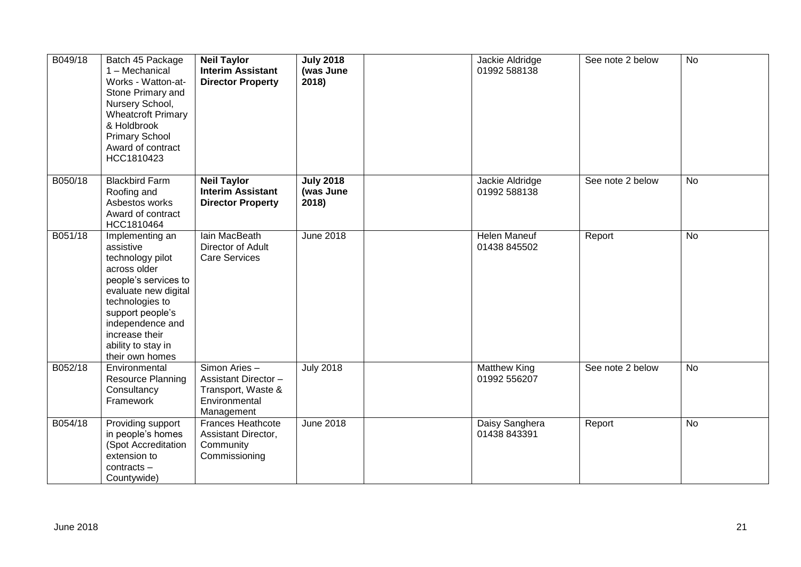| B049/18 | Batch 45 Package<br>1 - Mechanical<br>Works - Watton-at-<br>Stone Primary and<br>Nursery School,<br><b>Wheatcroft Primary</b><br>& Holdbrook<br><b>Primary School</b><br>Award of contract<br>HCC1810423                               | <b>Neil Taylor</b><br><b>Interim Assistant</b><br><b>Director Property</b>                        | <b>July 2018</b><br>(was June<br>2018) | Jackie Aldridge<br>01992 588138     | See note 2 below | No             |
|---------|----------------------------------------------------------------------------------------------------------------------------------------------------------------------------------------------------------------------------------------|---------------------------------------------------------------------------------------------------|----------------------------------------|-------------------------------------|------------------|----------------|
| B050/18 | <b>Blackbird Farm</b><br>Roofing and<br>Asbestos works<br>Award of contract<br>HCC1810464                                                                                                                                              | <b>Neil Taylor</b><br><b>Interim Assistant</b><br><b>Director Property</b>                        | <b>July 2018</b><br>(was June<br>2018) | Jackie Aldridge<br>01992 588138     | See note 2 below | <b>No</b>      |
| B051/18 | Implementing an<br>assistive<br>technology pilot<br>across older<br>people's services to<br>evaluate new digital<br>technologies to<br>support people's<br>independence and<br>increase their<br>ability to stay in<br>their own homes | lain MacBeath<br>Director of Adult<br><b>Care Services</b>                                        | <b>June 2018</b>                       | <b>Helen Maneuf</b><br>01438 845502 | Report           | No             |
| B052/18 | Environmental<br><b>Resource Planning</b><br>Consultancy<br>Framework                                                                                                                                                                  | Simon Aries -<br><b>Assistant Director -</b><br>Transport, Waste &<br>Environmental<br>Management | <b>July 2018</b>                       | Matthew King<br>01992 556207        | See note 2 below | $\overline{N}$ |
| B054/18 | Providing support<br>in people's homes<br>(Spot Accreditation<br>extension to<br>$contracts -$<br>Countywide)                                                                                                                          | <b>Frances Heathcote</b><br>Assistant Director,<br>Community<br>Commissioning                     | <b>June 2018</b>                       | Daisy Sanghera<br>01438 843391      | Report           | No             |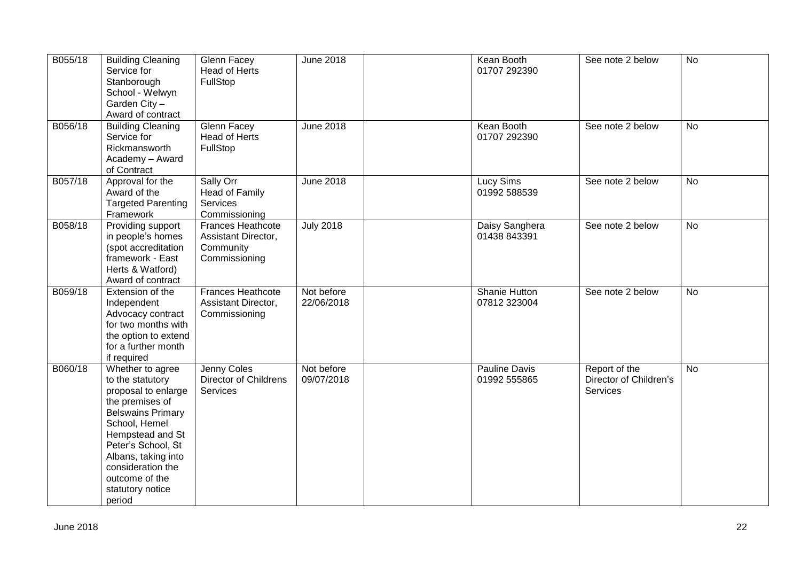| B055/18 | <b>Building Cleaning</b><br>Service for<br>Stanborough<br>School - Welwyn<br>Garden City-<br>Award of contract                                                                                                                                                    | Glenn Facey<br>Head of Herts<br>FullStop                                      | <b>June 2018</b>         | Kean Booth<br>01707 292390       | See note 2 below                                    | <b>No</b>      |
|---------|-------------------------------------------------------------------------------------------------------------------------------------------------------------------------------------------------------------------------------------------------------------------|-------------------------------------------------------------------------------|--------------------------|----------------------------------|-----------------------------------------------------|----------------|
| B056/18 | <b>Building Cleaning</b><br>Service for<br>Rickmansworth<br>Academy - Award<br>of Contract                                                                                                                                                                        | Glenn Facey<br>Head of Herts<br>FullStop                                      | <b>June 2018</b>         | Kean Booth<br>01707 292390       | See note 2 below                                    | <b>No</b>      |
| B057/18 | Approval for the<br>Award of the<br><b>Targeted Parenting</b><br>Framework                                                                                                                                                                                        | Sally Orr<br>Head of Family<br>Services<br>Commissioning                      | <b>June 2018</b>         | <b>Lucy Sims</b><br>01992 588539 | See note 2 below                                    | $\overline{N}$ |
| B058/18 | Providing support<br>in people's homes<br>(spot accreditation<br>framework - East<br>Herts & Watford)<br>Award of contract                                                                                                                                        | <b>Frances Heathcote</b><br>Assistant Director,<br>Community<br>Commissioning | <b>July 2018</b>         | Daisy Sanghera<br>01438 843391   | See note 2 below                                    | <b>No</b>      |
| B059/18 | Extension of the<br>Independent<br>Advocacy contract<br>for two months with<br>the option to extend<br>for a further month<br>if required                                                                                                                         | Frances Heathcote<br>Assistant Director,<br>Commissioning                     | Not before<br>22/06/2018 | Shanie Hutton<br>07812 323004    | See note 2 below                                    | <b>No</b>      |
| B060/18 | Whether to agree<br>to the statutory<br>proposal to enlarge<br>the premises of<br><b>Belswains Primary</b><br>School, Hemel<br>Hempstead and St<br>Peter's School, St<br>Albans, taking into<br>consideration the<br>outcome of the<br>statutory notice<br>period | Jenny Coles<br>Director of Childrens<br>Services                              | Not before<br>09/07/2018 | Pauline Davis<br>01992 555865    | Report of the<br>Director of Children's<br>Services | <b>No</b>      |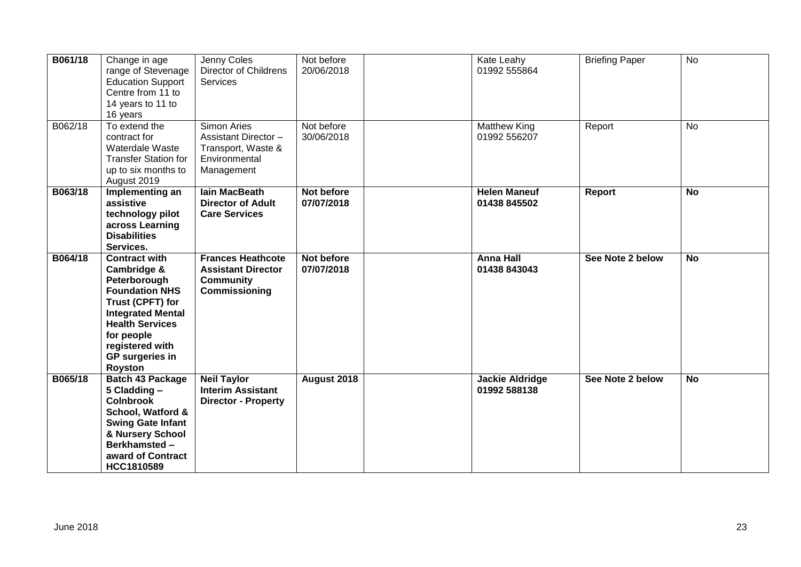| B061/18 | Change in age<br>range of Stevenage<br><b>Education Support</b><br>Centre from 11 to<br>14 years to 11 to<br>16 years                                                                                                        | Jenny Coles<br><b>Director of Childrens</b><br><b>Services</b>                                         | Not before<br>20/06/2018 | Kate Leahy<br>01992 555864             | <b>Briefing Paper</b> | <b>No</b>      |
|---------|------------------------------------------------------------------------------------------------------------------------------------------------------------------------------------------------------------------------------|--------------------------------------------------------------------------------------------------------|--------------------------|----------------------------------------|-----------------------|----------------|
| B062/18 | To extend the<br>contract for<br>Waterdale Waste<br><b>Transfer Station for</b><br>up to six months to<br>August 2019                                                                                                        | <b>Simon Aries</b><br><b>Assistant Director -</b><br>Transport, Waste &<br>Environmental<br>Management | Not before<br>30/06/2018 | <b>Matthew King</b><br>01992 556207    | Report                | <b>No</b>      |
| B063/18 | Implementing an<br>assistive<br>technology pilot<br>across Learning<br><b>Disabilities</b><br>Services.                                                                                                                      | <b>lain MacBeath</b><br><b>Director of Adult</b><br><b>Care Services</b>                               | Not before<br>07/07/2018 | <b>Helen Maneuf</b><br>01438 845502    | <b>Report</b>         | <b>No</b>      |
| B064/18 | <b>Contract with</b><br>Cambridge &<br>Peterborough<br><b>Foundation NHS</b><br>Trust (CPFT) for<br><b>Integrated Mental</b><br><b>Health Services</b><br>for people<br>registered with<br><b>GP</b> surgeries in<br>Royston | <b>Frances Heathcote</b><br><b>Assistant Director</b><br><b>Community</b><br>Commissioning             | Not before<br>07/07/2018 | <b>Anna Hall</b><br>01438 843043       | See Note 2 below      | $\overline{N}$ |
| B065/18 | <b>Batch 43 Package</b><br>5 Cladding -<br><b>Colnbrook</b><br>School, Watford &<br><b>Swing Gate Infant</b><br>& Nursery School<br>Berkhamsted-<br>award of Contract<br>HCC1810589                                          | <b>Neil Taylor</b><br><b>Interim Assistant</b><br><b>Director - Property</b>                           | August 2018              | <b>Jackie Aldridge</b><br>01992 588138 | See Note 2 below      | <b>No</b>      |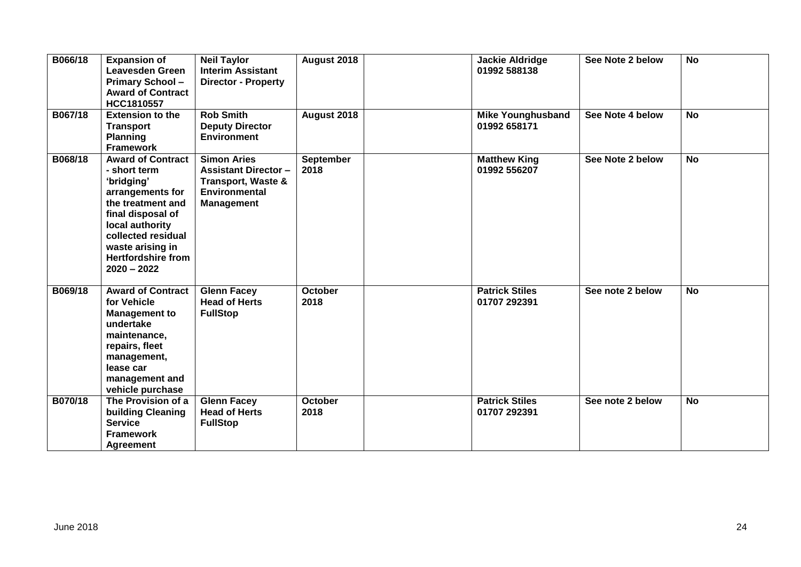| B066/18 | <b>Expansion of</b><br><b>Leavesden Green</b><br><b>Primary School-</b><br><b>Award of Contract</b><br>HCC1810557                                                                                                               | <b>Neil Taylor</b><br><b>Interim Assistant</b><br><b>Director - Property</b>                                                    | August 2018              | <b>Jackie Aldridge</b><br>01992 588138   | See Note 2 below | <b>No</b> |
|---------|---------------------------------------------------------------------------------------------------------------------------------------------------------------------------------------------------------------------------------|---------------------------------------------------------------------------------------------------------------------------------|--------------------------|------------------------------------------|------------------|-----------|
| B067/18 | <b>Extension to the</b><br><b>Transport</b><br><b>Planning</b><br><b>Framework</b>                                                                                                                                              | <b>Rob Smith</b><br><b>Deputy Director</b><br><b>Environment</b>                                                                | August 2018              | <b>Mike Younghusband</b><br>01992 658171 | See Note 4 below | <b>No</b> |
| B068/18 | <b>Award of Contract</b><br>- short term<br>'bridging'<br>arrangements for<br>the treatment and<br>final disposal of<br>local authority<br>collected residual<br>waste arising in<br><b>Hertfordshire from</b><br>$2020 - 2022$ | <b>Simon Aries</b><br><b>Assistant Director -</b><br><b>Transport, Waste &amp;</b><br><b>Environmental</b><br><b>Management</b> | <b>September</b><br>2018 | <b>Matthew King</b><br>01992 556207      | See Note 2 below | <b>No</b> |
| B069/18 | <b>Award of Contract</b><br>for Vehicle<br><b>Management to</b><br>undertake<br>maintenance,<br>repairs, fleet<br>management,<br>lease car<br>management and<br>vehicle purchase                                                | <b>Glenn Facey</b><br><b>Head of Herts</b><br><b>FullStop</b>                                                                   | October<br>2018          | <b>Patrick Stiles</b><br>01707 292391    | See note 2 below | <b>No</b> |
| B070/18 | The Provision of a<br>building Cleaning<br><b>Service</b><br><b>Framework</b><br><b>Agreement</b>                                                                                                                               | <b>Glenn Facey</b><br><b>Head of Herts</b><br><b>FullStop</b>                                                                   | October<br>2018          | <b>Patrick Stiles</b><br>01707 292391    | See note 2 below | <b>No</b> |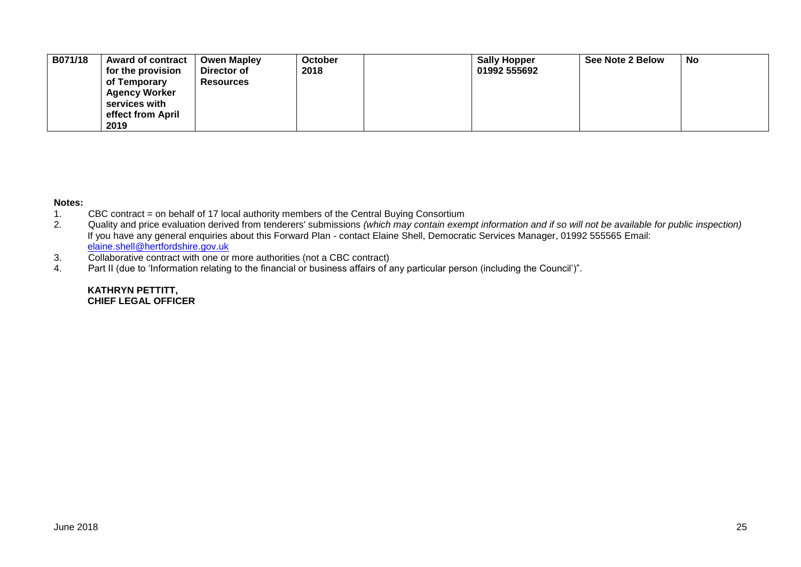| B071/18 | <b>Award of contract</b><br>for the provision | <b>Owen Mapley</b><br>Director of | <b>October</b><br>2018 | <b>Sally Hopper</b><br>01992 555692 | See Note 2 Below | No |
|---------|-----------------------------------------------|-----------------------------------|------------------------|-------------------------------------|------------------|----|
|         | of Temporary                                  | <b>Resources</b>                  |                        |                                     |                  |    |
|         | <b>Agency Worker</b>                          |                                   |                        |                                     |                  |    |
|         | services with                                 |                                   |                        |                                     |                  |    |
|         | effect from April                             |                                   |                        |                                     |                  |    |
|         | 2019                                          |                                   |                        |                                     |                  |    |

#### **Notes:**

- 1. CBC contract = on behalf of 17 local authority members of the Central Buying Consortium<br>2. Quality and price evaluation derived from tenderers' submissions (which may contain exen
- 2. Quality and price evaluation derived from tenderers' submissions *(which may contain exempt information and if so will not be available for public inspection)* If you have any general enquiries about this Forward Plan - contact Elaine Shell, Democratic Services Manager, 01992 555565 Email: [elaine.shell@hertfordshire.gov.uk](mailto:elaine.shell@hertfordshire.gov.uk)
- 3. Collaborative contract with one or more authorities (not a CBC contract)<br>4. Part II (due to 'Information relating to the financial or business affairs of a
- Part II (due to 'Information relating to the financial or business affairs of any particular person (including the Council')".

### **KATHRYN PETTITT, CHIEF LEGAL OFFICER**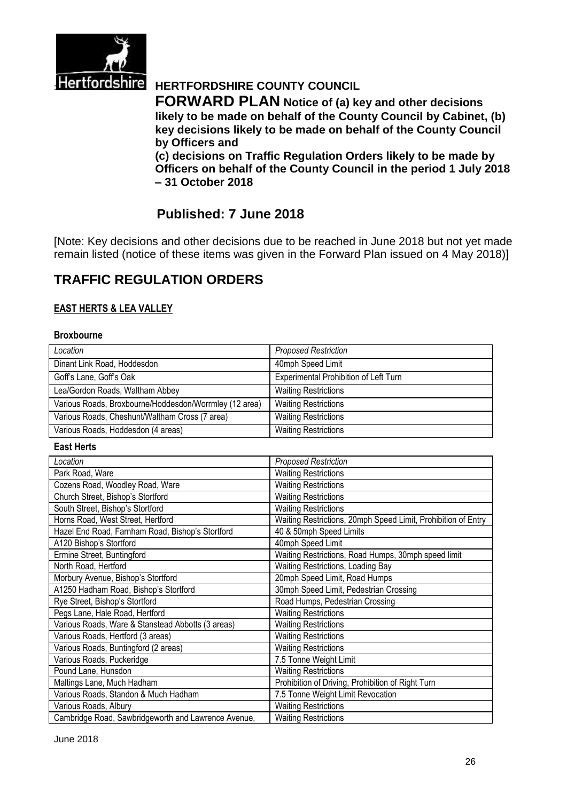

# **Hertfordshire** HERTFORDSHIRE COUNTY COUNCIL

**FORWARD PLAN Notice of (a) key and other decisions likely to be made on behalf of the County Council by Cabinet, (b) key decisions likely to be made on behalf of the County Council by Officers and** 

**(c) decisions on Traffic Regulation Orders likely to be made by Officers on behalf of the County Council in the period 1 July 2018 – 31 October 2018**

# **Published: 7 June 2018**

[Note: Key decisions and other decisions due to be reached in June 2018 but not yet made remain listed (notice of these items was given in the Forward Plan issued on 4 May 2018)]

# **TRAFFIC REGULATION ORDERS**

## **EAST HERTS & LEA VALLEY**

#### **Broxbourne**

| Location                                               | <b>Proposed Restriction</b>           |
|--------------------------------------------------------|---------------------------------------|
| Dinant Link Road, Hoddesdon                            | 40mph Speed Limit                     |
| Goff's Lane, Goff's Oak                                | Experimental Prohibition of Left Turn |
| Lea/Gordon Roads, Waltham Abbey                        | <b>Waiting Restrictions</b>           |
| Various Roads, Broxbourne/Hoddesdon/Worrmley (12 area) | <b>Waiting Restrictions</b>           |
| Various Roads, Cheshunt/Waltham Cross (7 area)         | <b>Waiting Restrictions</b>           |
| Various Roads, Hoddesdon (4 areas)                     | <b>Waiting Restrictions</b>           |

#### **East Herts**

| Location                                            | <b>Proposed Restriction</b>                                   |
|-----------------------------------------------------|---------------------------------------------------------------|
| Park Road, Ware                                     | <b>Waiting Restrictions</b>                                   |
| Cozens Road, Woodley Road, Ware                     | <b>Waiting Restrictions</b>                                   |
| Church Street, Bishop's Stortford                   | <b>Waiting Restrictions</b>                                   |
| South Street, Bishop's Stortford                    | <b>Waiting Restrictions</b>                                   |
| Horns Road, West Street, Hertford                   | Waiting Restrictions, 20mph Speed Limit, Prohibition of Entry |
| Hazel End Road, Farnham Road, Bishop's Stortford    | 40 & 50mph Speed Limits                                       |
| A120 Bishop's Stortford                             | 40mph Speed Limit                                             |
| Ermine Street, Buntingford                          | Waiting Restrictions, Road Humps, 30mph speed limit           |
| North Road, Hertford                                | Waiting Restrictions, Loading Bay                             |
| Morbury Avenue, Bishop's Stortford                  | 20mph Speed Limit, Road Humps                                 |
| A1250 Hadham Road, Bishop's Stortford               | 30mph Speed Limit, Pedestrian Crossing                        |
| Rye Street, Bishop's Stortford                      | Road Humps, Pedestrian Crossing                               |
| Pegs Lane, Hale Road, Hertford                      | <b>Waiting Restrictions</b>                                   |
| Various Roads, Ware & Stanstead Abbotts (3 areas)   | <b>Waiting Restrictions</b>                                   |
| Various Roads, Hertford (3 areas)                   | <b>Waiting Restrictions</b>                                   |
| Various Roads, Buntingford (2 areas)                | <b>Waiting Restrictions</b>                                   |
| Various Roads, Puckeridge                           | 7.5 Tonne Weight Limit                                        |
| Pound Lane, Hunsdon                                 | <b>Waiting Restrictions</b>                                   |
| Maltings Lane, Much Hadham                          | Prohibition of Driving, Prohibition of Right Turn             |
| Various Roads, Standon & Much Hadham                | 7.5 Tonne Weight Limit Revocation                             |
| Various Roads, Albury                               | <b>Waiting Restrictions</b>                                   |
| Cambridge Road, Sawbridgeworth and Lawrence Avenue, | <b>Waiting Restrictions</b>                                   |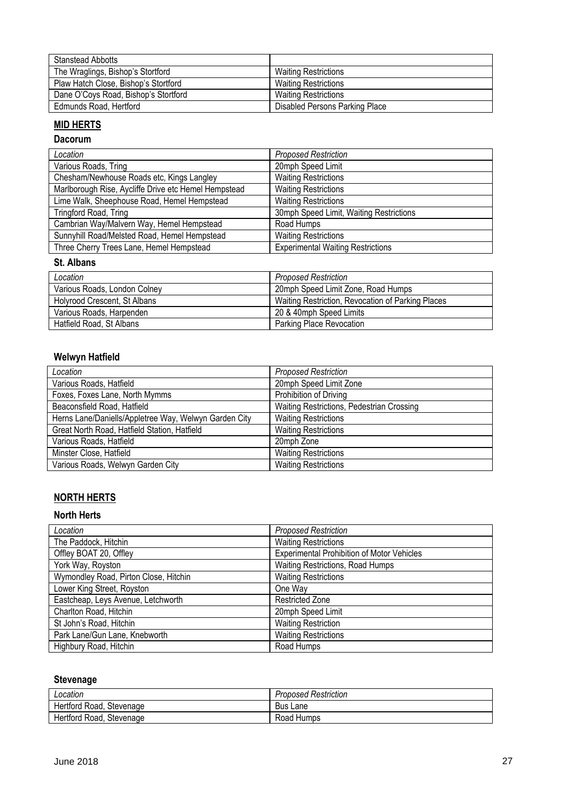| <b>Stanstead Abbotts</b>             |                                |
|--------------------------------------|--------------------------------|
| The Wraglings, Bishop's Stortford    | <b>Waiting Restrictions</b>    |
| Plaw Hatch Close, Bishop's Stortford | Waiting Restrictions           |
| Dane O'Coys Road, Bishop's Stortford | <b>Waiting Restrictions</b>    |
| Edmunds Road, Hertford               | Disabled Persons Parking Place |

# **MID HERTS**

# **Dacorum**

| Location                                             | <b>Proposed Restriction</b>              |
|------------------------------------------------------|------------------------------------------|
| Various Roads, Tring                                 | 20mph Speed Limit                        |
| Chesham/Newhouse Roads etc, Kings Langley            | <b>Waiting Restrictions</b>              |
| Marlborough Rise, Aycliffe Drive etc Hemel Hempstead | <b>Waiting Restrictions</b>              |
| Lime Walk, Sheephouse Road, Hemel Hempstead          | <b>Waiting Restrictions</b>              |
| Tringford Road, Tring                                | 30mph Speed Limit, Waiting Restrictions  |
| Cambrian Way/Malvern Way, Hemel Hempstead            | Road Humps                               |
| Sunnyhill Road/Melsted Road, Hemel Hempstead         | <b>Waiting Restrictions</b>              |
| Three Cherry Trees Lane, Hemel Hempstead             | <b>Experimental Waiting Restrictions</b> |

## **St. Albans**

| Location                     | <b>Proposed Restriction</b>                       |
|------------------------------|---------------------------------------------------|
| Various Roads, London Colney | 20mph Speed Limit Zone, Road Humps                |
| Holyrood Crescent, St Albans | Waiting Restriction, Revocation of Parking Places |
| Various Roads, Harpenden     | 20 & 40mph Speed Limits                           |
| Hatfield Road, St Albans     | Parking Place Revocation                          |

# **Welwyn Hatfield**

| Location                                              | <b>Proposed Restriction</b>               |
|-------------------------------------------------------|-------------------------------------------|
| Various Roads, Hatfield                               | 20mph Speed Limit Zone                    |
| Foxes, Foxes Lane, North Mymms                        | Prohibition of Driving                    |
| Beaconsfield Road, Hatfield                           | Waiting Restrictions, Pedestrian Crossing |
| Herns Lane/Daniells/Appletree Way, Welwyn Garden City | <b>Waiting Restrictions</b>               |
| Great North Road, Hatfield Station, Hatfield          | <b>Waiting Restrictions</b>               |
| Various Roads, Hatfield                               | 20mph Zone                                |
| Minster Close, Hatfield                               | <b>Waiting Restrictions</b>               |
| Various Roads, Welwyn Garden City                     | <b>Waiting Restrictions</b>               |

# **NORTH HERTS**

## **North Herts**

| Location                              | <b>Proposed Restriction</b>                       |
|---------------------------------------|---------------------------------------------------|
| The Paddock, Hitchin                  | <b>Waiting Restrictions</b>                       |
| Offley BOAT 20, Offley                | <b>Experimental Prohibition of Motor Vehicles</b> |
| York Way, Royston                     | Waiting Restrictions, Road Humps                  |
| Wymondley Road, Pirton Close, Hitchin | <b>Waiting Restrictions</b>                       |
| Lower King Street, Royston            | One Way                                           |
| Eastcheap, Leys Avenue, Letchworth    | <b>Restricted Zone</b>                            |
| Charlton Road, Hitchin                | 20mph Speed Limit                                 |
| St John's Road, Hitchin               | <b>Waiting Restriction</b>                        |
| Park Lane/Gun Lane, Knebworth         | <b>Waiting Restrictions</b>                       |
| Highbury Road, Hitchin                | Road Humps                                        |

# **Stevenage**

| Location                      | <b>Proposed Restriction</b> |
|-------------------------------|-----------------------------|
| Hertford Road,<br>, Stevenage | Bus<br>Lane                 |
| Stevenage<br>Hertford Road,   | Road Humps                  |